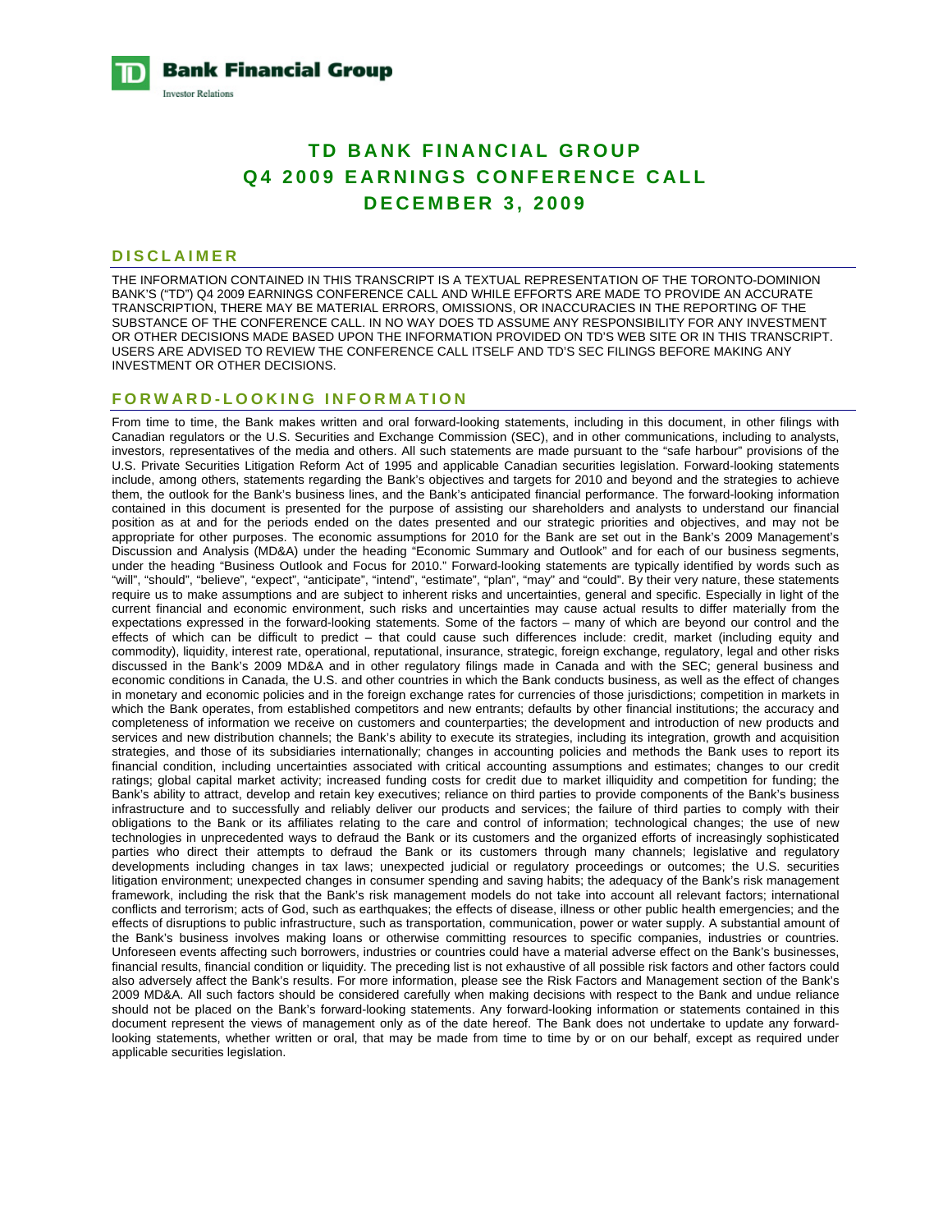**Bank Financial Group Investor Relations** 

# **TD BANK FINANCIAL GROUP Q4 2009 EARNINGS CONFERENCE CALL DECEMBER 3, 2009**

# **DISCLAIMER**

THE INFORMATION CONTAINED IN THIS TRANSCRIPT IS A TEXTUAL REPRESENTATION OF THE TORONTO-DOMINION BANK'S ("TD") Q4 2009 EARNINGS CONFERENCE CALL AND WHILE EFFORTS ARE MADE TO PROVIDE AN ACCURATE TRANSCRIPTION, THERE MAY BE MATERIAL ERRORS, OMISSIONS, OR INACCURACIES IN THE REPORTING OF THE SUBSTANCE OF THE CONFERENCE CALL. IN NO WAY DOES TD ASSUME ANY RESPONSIBILITY FOR ANY INVESTMENT OR OTHER DECISIONS MADE BASED UPON THE INFORMATION PROVIDED ON TD'S WEB SITE OR IN THIS TRANSCRIPT. USERS ARE ADVISED TO REVIEW THE CONFERENCE CALL ITSELF AND TD'S SEC FILINGS BEFORE MAKING ANY INVESTMENT OR OTHER DECISIONS.

#### **FORWARD-LOOKING INFORMATION**

From time to time, the Bank makes written and oral forward-looking statements, including in this document, in other filings with Canadian regulators or the U.S. Securities and Exchange Commission (SEC), and in other communications, including to analysts, investors, representatives of the media and others. All such statements are made pursuant to the "safe harbour" provisions of the U.S. Private Securities Litigation Reform Act of 1995 and applicable Canadian securities legislation. Forward-looking statements include, among others, statements regarding the Bank's objectives and targets for 2010 and beyond and the strategies to achieve them, the outlook for the Bank's business lines, and the Bank's anticipated financial performance. The forward-looking information contained in this document is presented for the purpose of assisting our shareholders and analysts to understand our financial position as at and for the periods ended on the dates presented and our strategic priorities and objectives, and may not be appropriate for other purposes. The economic assumptions for 2010 for the Bank are set out in the Bank's 2009 Management's Discussion and Analysis (MD&A) under the heading "Economic Summary and Outlook" and for each of our business segments, under the heading "Business Outlook and Focus for 2010." Forward-looking statements are typically identified by words such as "will", "should", "believe", "expect", "anticipate", "intend", "estimate", "plan", "may" and "could". By their very nature, these statements require us to make assumptions and are subject to inherent risks and uncertainties, general and specific. Especially in light of the current financial and economic environment, such risks and uncertainties may cause actual results to differ materially from the expectations expressed in the forward-looking statements. Some of the factors – many of which are beyond our control and the effects of which can be difficult to predict – that could cause such differences include: credit, market (including equity and commodity), liquidity, interest rate, operational, reputational, insurance, strategic, foreign exchange, regulatory, legal and other risks discussed in the Bank's 2009 MD&A and in other regulatory filings made in Canada and with the SEC; general business and economic conditions in Canada, the U.S. and other countries in which the Bank conducts business, as well as the effect of changes in monetary and economic policies and in the foreign exchange rates for currencies of those jurisdictions; competition in markets in which the Bank operates, from established competitors and new entrants; defaults by other financial institutions; the accuracy and completeness of information we receive on customers and counterparties; the development and introduction of new products and services and new distribution channels; the Bank's ability to execute its strategies, including its integration, growth and acquisition strategies, and those of its subsidiaries internationally; changes in accounting policies and methods the Bank uses to report its financial condition, including uncertainties associated with critical accounting assumptions and estimates; changes to our credit ratings; global capital market activity; increased funding costs for credit due to market illiquidity and competition for funding; the Bank's ability to attract, develop and retain key executives; reliance on third parties to provide components of the Bank's business infrastructure and to successfully and reliably deliver our products and services; the failure of third parties to comply with their obligations to the Bank or its affiliates relating to the care and control of information; technological changes; the use of new technologies in unprecedented ways to defraud the Bank or its customers and the organized efforts of increasingly sophisticated parties who direct their attempts to defraud the Bank or its customers through many channels; legislative and regulatory developments including changes in tax laws; unexpected judicial or regulatory proceedings or outcomes; the U.S. securities litigation environment; unexpected changes in consumer spending and saving habits; the adequacy of the Bank's risk management framework, including the risk that the Bank's risk management models do not take into account all relevant factors; international conflicts and terrorism; acts of God, such as earthquakes; the effects of disease, illness or other public health emergencies; and the effects of disruptions to public infrastructure, such as transportation, communication, power or water supply. A substantial amount of the Bank's business involves making loans or otherwise committing resources to specific companies, industries or countries. Unforeseen events affecting such borrowers, industries or countries could have a material adverse effect on the Bank's businesses, financial results, financial condition or liquidity. The preceding list is not exhaustive of all possible risk factors and other factors could also adversely affect the Bank's results. For more information, please see the Risk Factors and Management section of the Bank's 2009 MD&A. All such factors should be considered carefully when making decisions with respect to the Bank and undue reliance should not be placed on the Bank's forward-looking statements. Any forward-looking information or statements contained in this document represent the views of management only as of the date hereof. The Bank does not undertake to update any forwardlooking statements, whether written or oral, that may be made from time to time by or on our behalf, except as required under applicable securities legislation.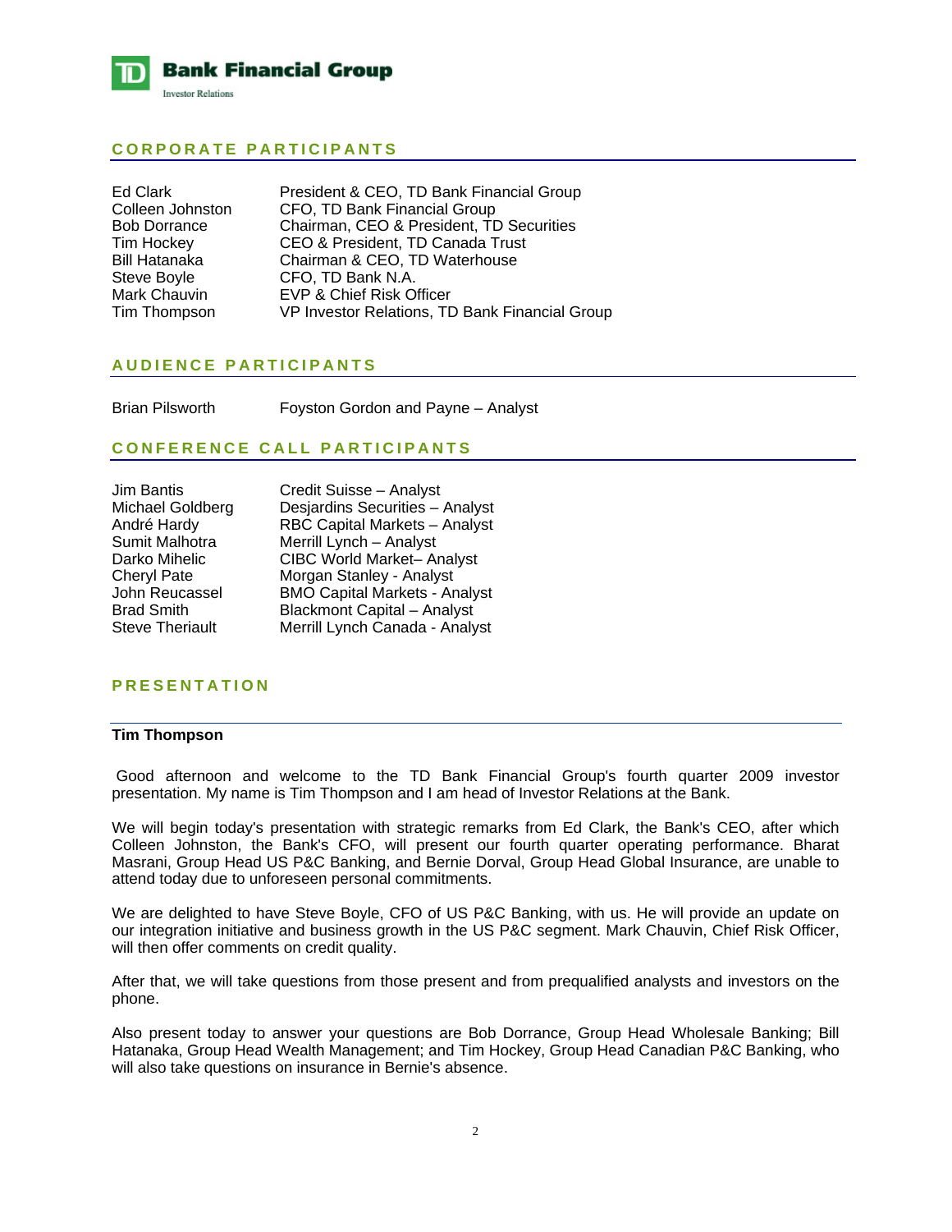

# **CORPORATE PARTICIPANTS**

| Ed Clark            | President & CEO, TD Bank Financial Group       |
|---------------------|------------------------------------------------|
| Colleen Johnston    | CFO, TD Bank Financial Group                   |
| <b>Bob Dorrance</b> | Chairman, CEO & President, TD Securities       |
| Tim Hockey          | CEO & President, TD Canada Trust               |
| Bill Hatanaka       | Chairman & CEO, TD Waterhouse                  |
| Steve Boyle         | CFO, TD Bank N.A.                              |
| Mark Chauvin        | EVP & Chief Risk Officer                       |
| Tim Thompson        | VP Investor Relations, TD Bank Financial Group |
|                     |                                                |

# **AUDIENCE PARTICIPANTS**

Brian Pilsworth Foyston Gordon and Payne – Analyst

# **CONFERENCE CALL PARTICIPANTS**

| <b>Jim Bantis</b>               | Credit Suisse - Analyst                                          |
|---------------------------------|------------------------------------------------------------------|
| Michael Goldberg<br>André Hardy | Desjardins Securities - Analyst<br>RBC Capital Markets - Analyst |
| Sumit Malhotra                  | Merrill Lynch - Analyst                                          |
| Darko Mihelic                   | CIBC World Market- Analyst                                       |
| <b>Cheryl Pate</b>              | Morgan Stanley - Analyst                                         |
| John Reucassel                  | <b>BMO Capital Markets - Analyst</b>                             |
| <b>Brad Smith</b>               | <b>Blackmont Capital - Analyst</b>                               |
| <b>Steve Theriault</b>          | Merrill Lynch Canada - Analyst                                   |

# **PRESENTATION**

# **Tim Thompson**

 Good afternoon and welcome to the TD Bank Financial Group's fourth quarter 2009 investor presentation. My name is Tim Thompson and I am head of Investor Relations at the Bank.

We will begin today's presentation with strategic remarks from Ed Clark, the Bank's CEO, after which Colleen Johnston, the Bank's CFO, will present our fourth quarter operating performance. Bharat Masrani, Group Head US P&C Banking, and Bernie Dorval, Group Head Global Insurance, are unable to attend today due to unforeseen personal commitments.

We are delighted to have Steve Boyle, CFO of US P&C Banking, with us. He will provide an update on our integration initiative and business growth in the US P&C segment. Mark Chauvin, Chief Risk Officer, will then offer comments on credit quality.

After that, we will take questions from those present and from prequalified analysts and investors on the phone.

Also present today to answer your questions are Bob Dorrance, Group Head Wholesale Banking; Bill Hatanaka, Group Head Wealth Management; and Tim Hockey, Group Head Canadian P&C Banking, who will also take questions on insurance in Bernie's absence.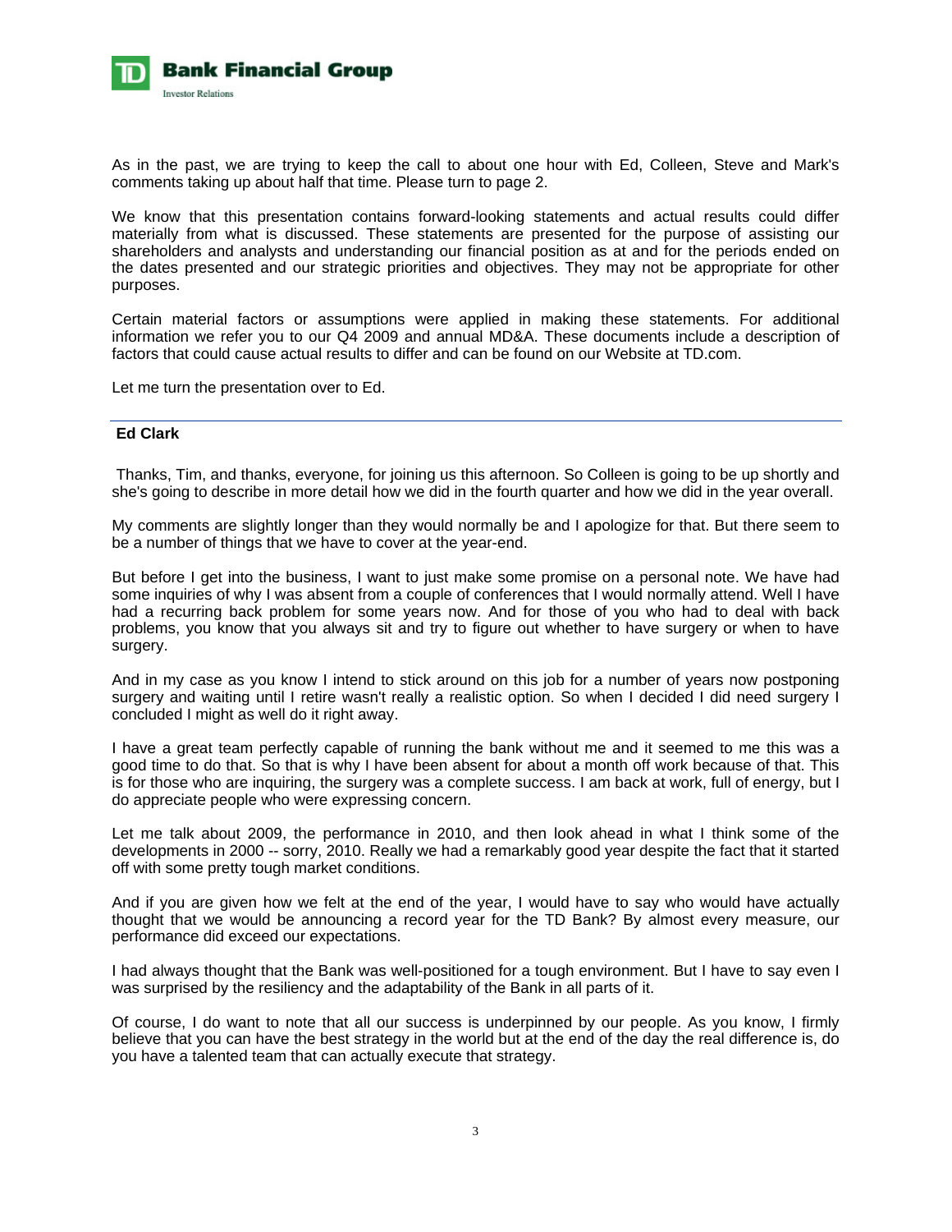

As in the past, we are trying to keep the call to about one hour with Ed, Colleen, Steve and Mark's comments taking up about half that time. Please turn to page 2.

We know that this presentation contains forward-looking statements and actual results could differ materially from what is discussed. These statements are presented for the purpose of assisting our shareholders and analysts and understanding our financial position as at and for the periods ended on the dates presented and our strategic priorities and objectives. They may not be appropriate for other purposes.

Certain material factors or assumptions were applied in making these statements. For additional information we refer you to our Q4 2009 and annual MD&A. These documents include a description of factors that could cause actual results to differ and can be found on our Website at TD.com.

Let me turn the presentation over to Ed.

# **Ed Clark**

 Thanks, Tim, and thanks, everyone, for joining us this afternoon. So Colleen is going to be up shortly and she's going to describe in more detail how we did in the fourth quarter and how we did in the year overall.

My comments are slightly longer than they would normally be and I apologize for that. But there seem to be a number of things that we have to cover at the year-end.

But before I get into the business, I want to just make some promise on a personal note. We have had some inquiries of why I was absent from a couple of conferences that I would normally attend. Well I have had a recurring back problem for some years now. And for those of you who had to deal with back problems, you know that you always sit and try to figure out whether to have surgery or when to have surgery.

And in my case as you know I intend to stick around on this job for a number of years now postponing surgery and waiting until I retire wasn't really a realistic option. So when I decided I did need surgery I concluded I might as well do it right away.

I have a great team perfectly capable of running the bank without me and it seemed to me this was a good time to do that. So that is why I have been absent for about a month off work because of that. This is for those who are inquiring, the surgery was a complete success. I am back at work, full of energy, but I do appreciate people who were expressing concern.

Let me talk about 2009, the performance in 2010, and then look ahead in what I think some of the developments in 2000 -- sorry, 2010. Really we had a remarkably good year despite the fact that it started off with some pretty tough market conditions.

And if you are given how we felt at the end of the year, I would have to say who would have actually thought that we would be announcing a record year for the TD Bank? By almost every measure, our performance did exceed our expectations.

I had always thought that the Bank was well-positioned for a tough environment. But I have to say even I was surprised by the resiliency and the adaptability of the Bank in all parts of it.

Of course, I do want to note that all our success is underpinned by our people. As you know, I firmly believe that you can have the best strategy in the world but at the end of the day the real difference is, do you have a talented team that can actually execute that strategy.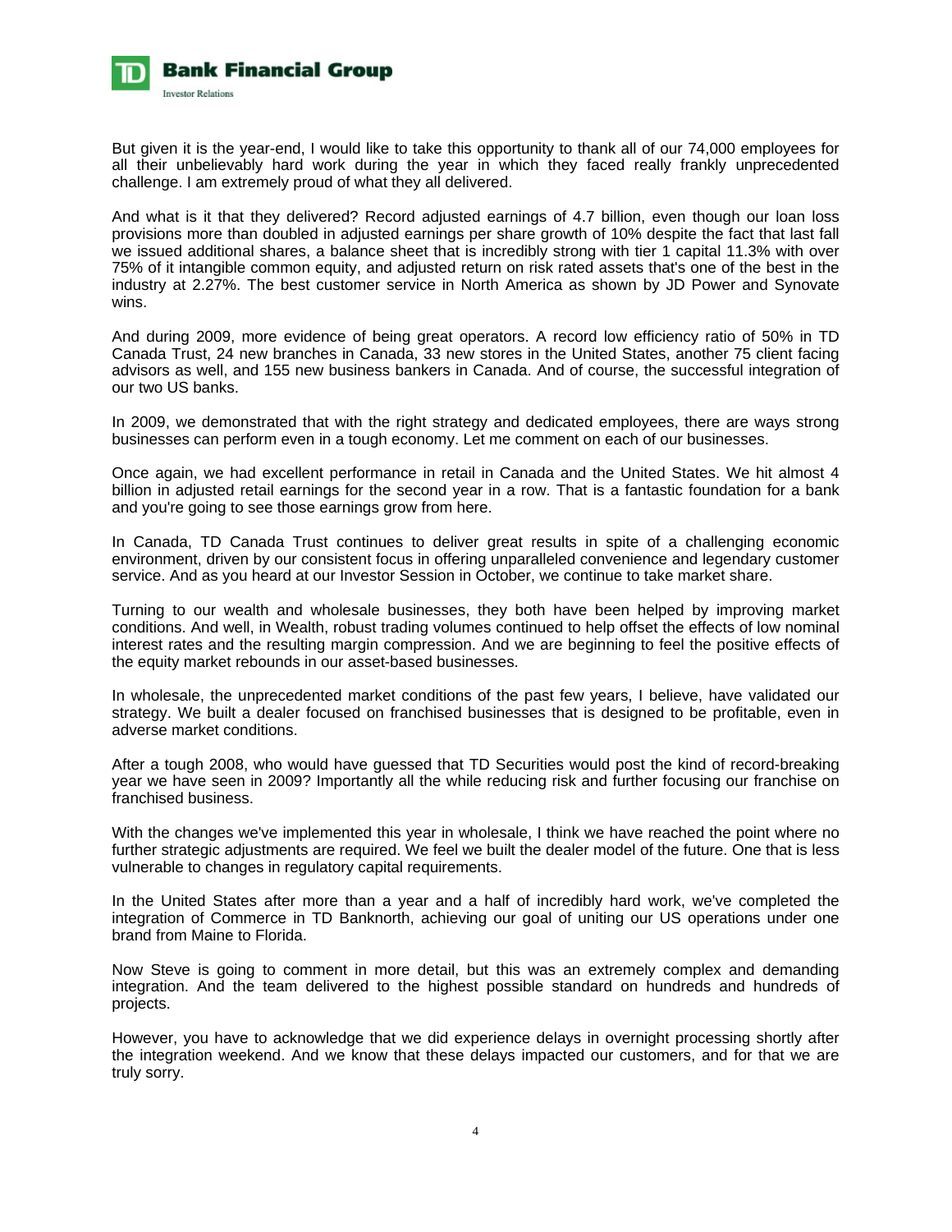

But given it is the year-end, I would like to take this opportunity to thank all of our 74,000 employees for all their unbelievably hard work during the year in which they faced really frankly unprecedented challenge. I am extremely proud of what they all delivered.

And what is it that they delivered? Record adjusted earnings of 4.7 billion, even though our loan loss provisions more than doubled in adjusted earnings per share growth of 10% despite the fact that last fall we issued additional shares, a balance sheet that is incredibly strong with tier 1 capital 11.3% with over 75% of it intangible common equity, and adjusted return on risk rated assets that's one of the best in the industry at 2.27%. The best customer service in North America as shown by JD Power and Synovate wins.

And during 2009, more evidence of being great operators. A record low efficiency ratio of 50% in TD Canada Trust, 24 new branches in Canada, 33 new stores in the United States, another 75 client facing advisors as well, and 155 new business bankers in Canada. And of course, the successful integration of our two US banks.

In 2009, we demonstrated that with the right strategy and dedicated employees, there are ways strong businesses can perform even in a tough economy. Let me comment on each of our businesses.

Once again, we had excellent performance in retail in Canada and the United States. We hit almost 4 billion in adjusted retail earnings for the second year in a row. That is a fantastic foundation for a bank and you're going to see those earnings grow from here.

In Canada, TD Canada Trust continues to deliver great results in spite of a challenging economic environment, driven by our consistent focus in offering unparalleled convenience and legendary customer service. And as you heard at our Investor Session in October, we continue to take market share.

Turning to our wealth and wholesale businesses, they both have been helped by improving market conditions. And well, in Wealth, robust trading volumes continued to help offset the effects of low nominal interest rates and the resulting margin compression. And we are beginning to feel the positive effects of the equity market rebounds in our asset-based businesses.

In wholesale, the unprecedented market conditions of the past few years, I believe, have validated our strategy. We built a dealer focused on franchised businesses that is designed to be profitable, even in adverse market conditions.

After a tough 2008, who would have guessed that TD Securities would post the kind of record-breaking year we have seen in 2009? Importantly all the while reducing risk and further focusing our franchise on franchised business.

With the changes we've implemented this year in wholesale, I think we have reached the point where no further strategic adjustments are required. We feel we built the dealer model of the future. One that is less vulnerable to changes in regulatory capital requirements.

In the United States after more than a year and a half of incredibly hard work, we've completed the integration of Commerce in TD Banknorth, achieving our goal of uniting our US operations under one brand from Maine to Florida.

Now Steve is going to comment in more detail, but this was an extremely complex and demanding integration. And the team delivered to the highest possible standard on hundreds and hundreds of projects.

However, you have to acknowledge that we did experience delays in overnight processing shortly after the integration weekend. And we know that these delays impacted our customers, and for that we are truly sorry.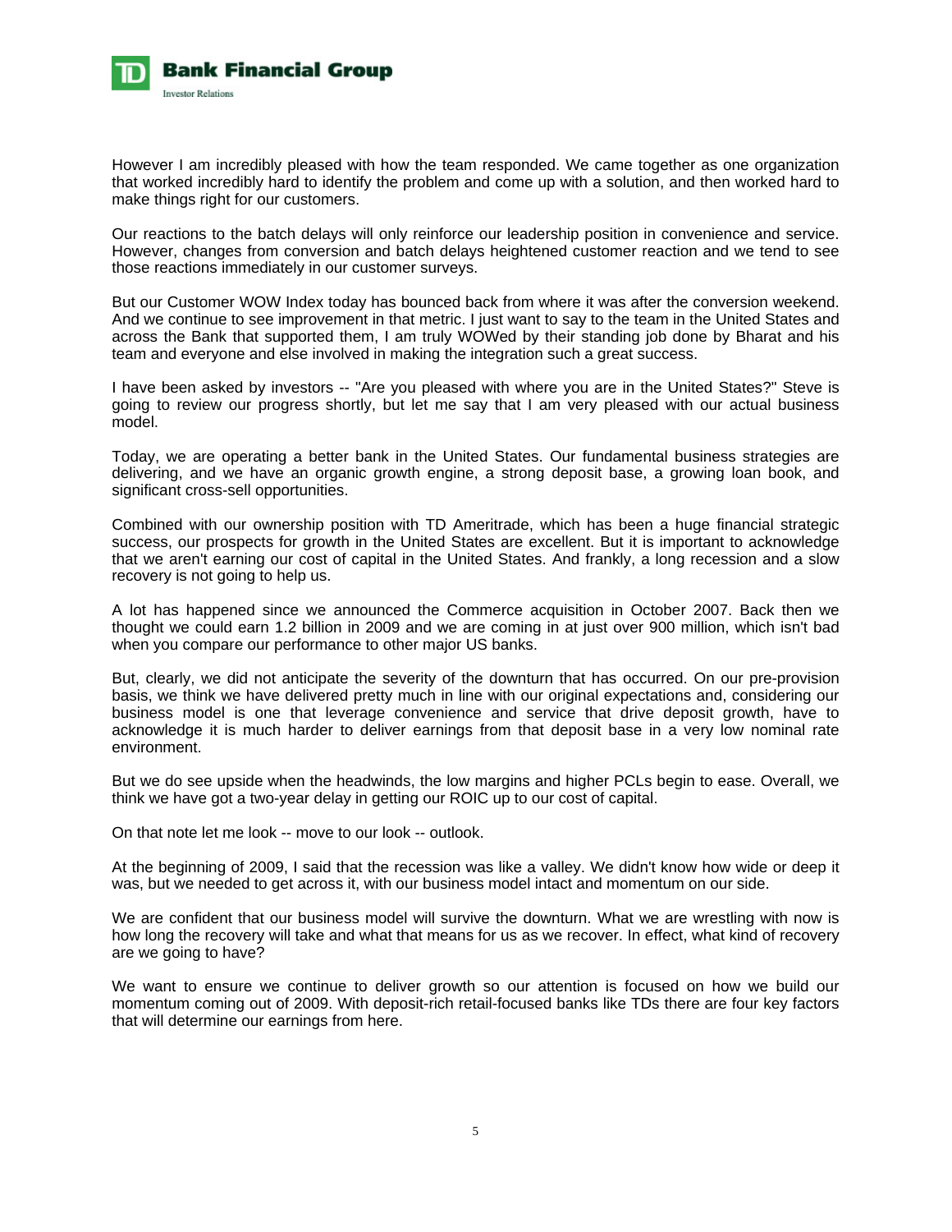

However I am incredibly pleased with how the team responded. We came together as one organization that worked incredibly hard to identify the problem and come up with a solution, and then worked hard to make things right for our customers.

Our reactions to the batch delays will only reinforce our leadership position in convenience and service. However, changes from conversion and batch delays heightened customer reaction and we tend to see those reactions immediately in our customer surveys.

But our Customer WOW Index today has bounced back from where it was after the conversion weekend. And we continue to see improvement in that metric. I just want to say to the team in the United States and across the Bank that supported them, I am truly WOWed by their standing job done by Bharat and his team and everyone and else involved in making the integration such a great success.

I have been asked by investors -- "Are you pleased with where you are in the United States?" Steve is going to review our progress shortly, but let me say that I am very pleased with our actual business model.

Today, we are operating a better bank in the United States. Our fundamental business strategies are delivering, and we have an organic growth engine, a strong deposit base, a growing loan book, and significant cross-sell opportunities.

Combined with our ownership position with TD Ameritrade, which has been a huge financial strategic success, our prospects for growth in the United States are excellent. But it is important to acknowledge that we aren't earning our cost of capital in the United States. And frankly, a long recession and a slow recovery is not going to help us.

A lot has happened since we announced the Commerce acquisition in October 2007. Back then we thought we could earn 1.2 billion in 2009 and we are coming in at just over 900 million, which isn't bad when you compare our performance to other major US banks.

But, clearly, we did not anticipate the severity of the downturn that has occurred. On our pre-provision basis, we think we have delivered pretty much in line with our original expectations and, considering our business model is one that leverage convenience and service that drive deposit growth, have to acknowledge it is much harder to deliver earnings from that deposit base in a very low nominal rate environment.

But we do see upside when the headwinds, the low margins and higher PCLs begin to ease. Overall, we think we have got a two-year delay in getting our ROIC up to our cost of capital.

On that note let me look -- move to our look -- outlook.

At the beginning of 2009, I said that the recession was like a valley. We didn't know how wide or deep it was, but we needed to get across it, with our business model intact and momentum on our side.

We are confident that our business model will survive the downturn. What we are wrestling with now is how long the recovery will take and what that means for us as we recover. In effect, what kind of recovery are we going to have?

We want to ensure we continue to deliver growth so our attention is focused on how we build our momentum coming out of 2009. With deposit-rich retail-focused banks like TDs there are four key factors that will determine our earnings from here.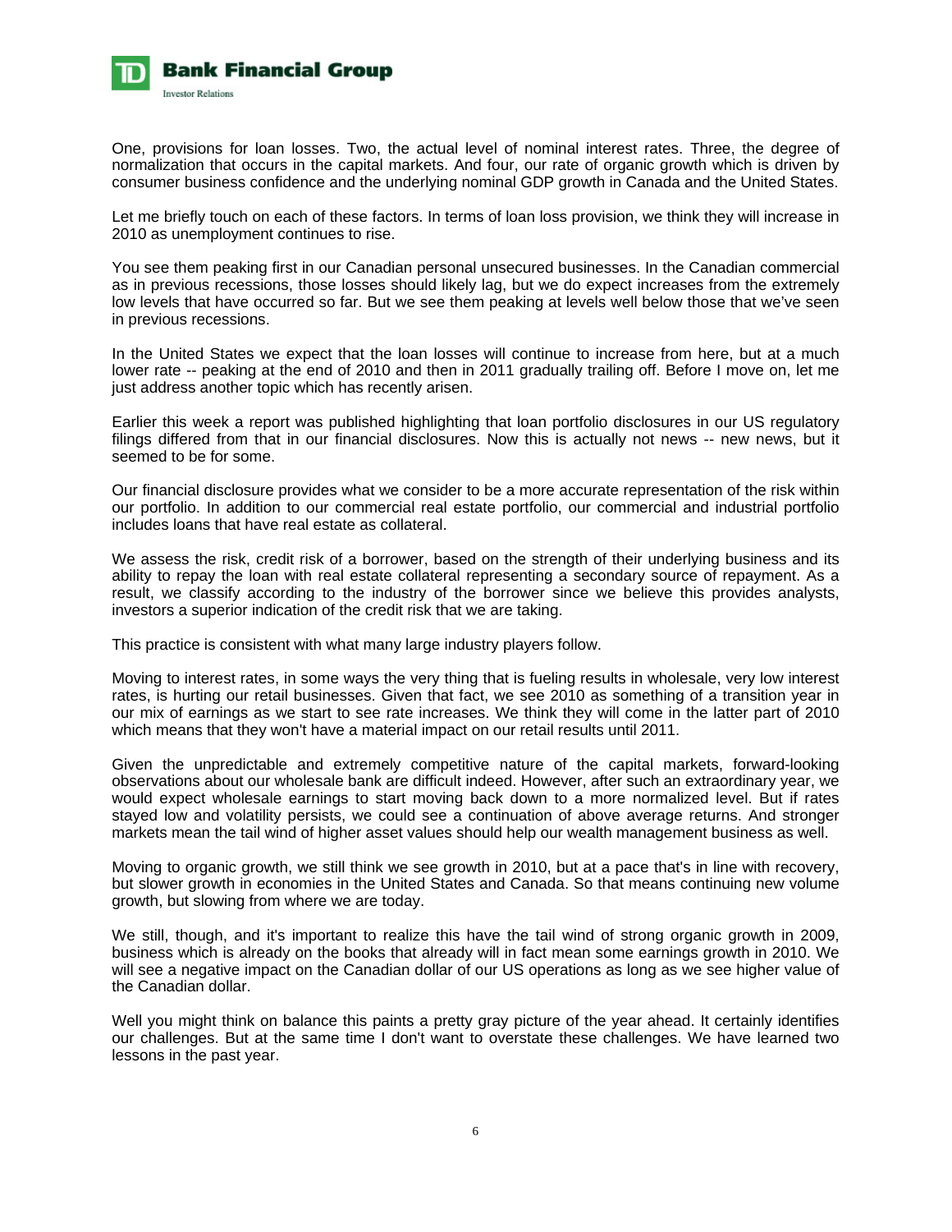

One, provisions for loan losses. Two, the actual level of nominal interest rates. Three, the degree of normalization that occurs in the capital markets. And four, our rate of organic growth which is driven by consumer business confidence and the underlying nominal GDP growth in Canada and the United States.

Let me briefly touch on each of these factors. In terms of loan loss provision, we think they will increase in 2010 as unemployment continues to rise.

You see them peaking first in our Canadian personal unsecured businesses. In the Canadian commercial as in previous recessions, those losses should likely lag, but we do expect increases from the extremely low levels that have occurred so far. But we see them peaking at levels well below those that we've seen in previous recessions.

In the United States we expect that the loan losses will continue to increase from here, but at a much lower rate -- peaking at the end of 2010 and then in 2011 gradually trailing off. Before I move on, let me just address another topic which has recently arisen.

Earlier this week a report was published highlighting that loan portfolio disclosures in our US regulatory filings differed from that in our financial disclosures. Now this is actually not news -- new news, but it seemed to be for some.

Our financial disclosure provides what we consider to be a more accurate representation of the risk within our portfolio. In addition to our commercial real estate portfolio, our commercial and industrial portfolio includes loans that have real estate as collateral.

We assess the risk, credit risk of a borrower, based on the strength of their underlying business and its ability to repay the loan with real estate collateral representing a secondary source of repayment. As a result, we classify according to the industry of the borrower since we believe this provides analysts, investors a superior indication of the credit risk that we are taking.

This practice is consistent with what many large industry players follow.

Moving to interest rates, in some ways the very thing that is fueling results in wholesale, very low interest rates, is hurting our retail businesses. Given that fact, we see 2010 as something of a transition year in our mix of earnings as we start to see rate increases. We think they will come in the latter part of 2010 which means that they won't have a material impact on our retail results until 2011.

Given the unpredictable and extremely competitive nature of the capital markets, forward-looking observations about our wholesale bank are difficult indeed. However, after such an extraordinary year, we would expect wholesale earnings to start moving back down to a more normalized level. But if rates stayed low and volatility persists, we could see a continuation of above average returns. And stronger markets mean the tail wind of higher asset values should help our wealth management business as well.

Moving to organic growth, we still think we see growth in 2010, but at a pace that's in line with recovery, but slower growth in economies in the United States and Canada. So that means continuing new volume growth, but slowing from where we are today.

We still, though, and it's important to realize this have the tail wind of strong organic growth in 2009, business which is already on the books that already will in fact mean some earnings growth in 2010. We will see a negative impact on the Canadian dollar of our US operations as long as we see higher value of the Canadian dollar.

Well you might think on balance this paints a pretty gray picture of the year ahead. It certainly identifies our challenges. But at the same time I don't want to overstate these challenges. We have learned two lessons in the past year.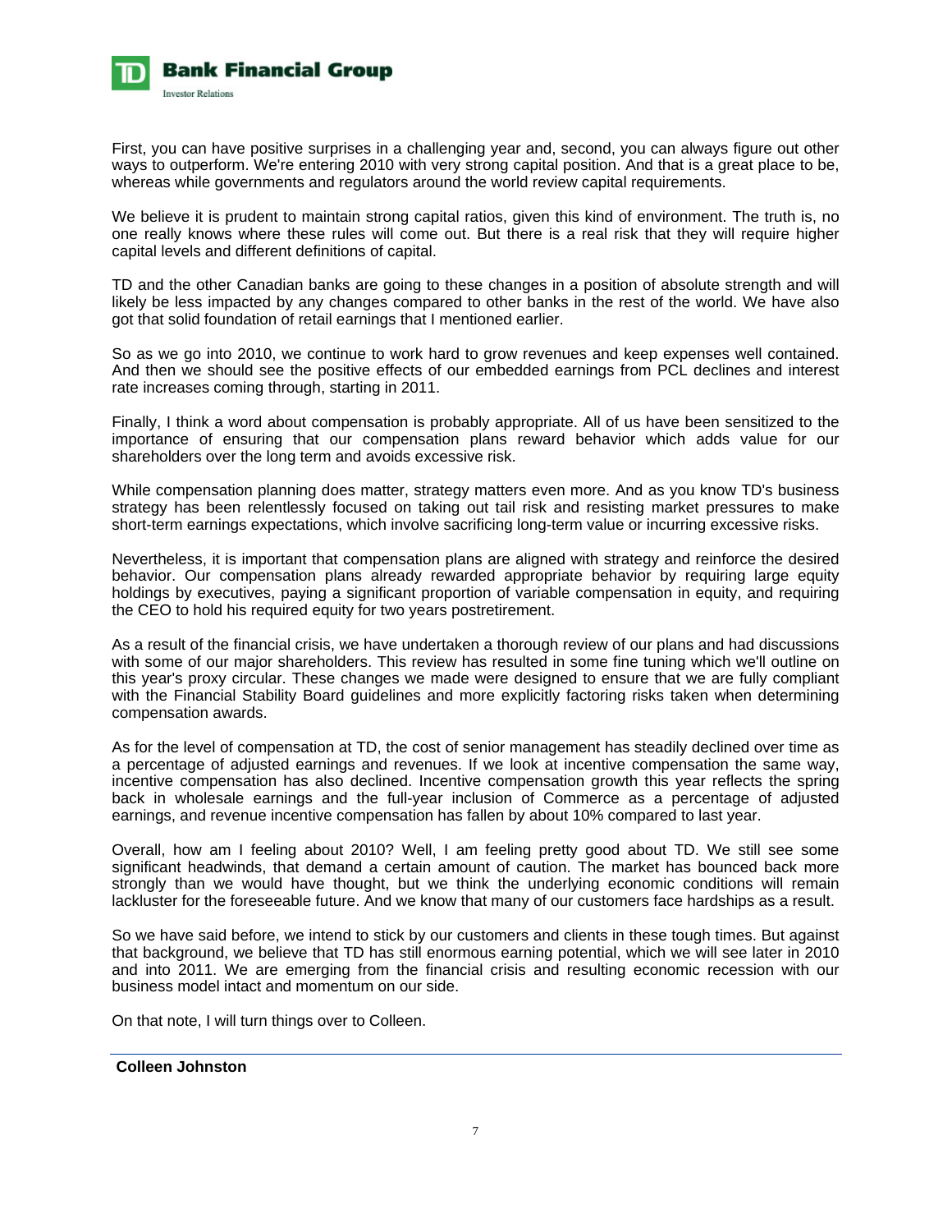

First, you can have positive surprises in a challenging year and, second, you can always figure out other ways to outperform. We're entering 2010 with very strong capital position. And that is a great place to be, whereas while governments and regulators around the world review capital requirements.

We believe it is prudent to maintain strong capital ratios, given this kind of environment. The truth is, no one really knows where these rules will come out. But there is a real risk that they will require higher capital levels and different definitions of capital.

TD and the other Canadian banks are going to these changes in a position of absolute strength and will likely be less impacted by any changes compared to other banks in the rest of the world. We have also got that solid foundation of retail earnings that I mentioned earlier.

So as we go into 2010, we continue to work hard to grow revenues and keep expenses well contained. And then we should see the positive effects of our embedded earnings from PCL declines and interest rate increases coming through, starting in 2011.

Finally, I think a word about compensation is probably appropriate. All of us have been sensitized to the importance of ensuring that our compensation plans reward behavior which adds value for our shareholders over the long term and avoids excessive risk.

While compensation planning does matter, strategy matters even more. And as you know TD's business strategy has been relentlessly focused on taking out tail risk and resisting market pressures to make short-term earnings expectations, which involve sacrificing long-term value or incurring excessive risks.

Nevertheless, it is important that compensation plans are aligned with strategy and reinforce the desired behavior. Our compensation plans already rewarded appropriate behavior by requiring large equity holdings by executives, paying a significant proportion of variable compensation in equity, and requiring the CEO to hold his required equity for two years postretirement.

As a result of the financial crisis, we have undertaken a thorough review of our plans and had discussions with some of our major shareholders. This review has resulted in some fine tuning which we'll outline on this year's proxy circular. These changes we made were designed to ensure that we are fully compliant with the Financial Stability Board guidelines and more explicitly factoring risks taken when determining compensation awards.

As for the level of compensation at TD, the cost of senior management has steadily declined over time as a percentage of adjusted earnings and revenues. If we look at incentive compensation the same way, incentive compensation has also declined. Incentive compensation growth this year reflects the spring back in wholesale earnings and the full-year inclusion of Commerce as a percentage of adjusted earnings, and revenue incentive compensation has fallen by about 10% compared to last year.

Overall, how am I feeling about 2010? Well, I am feeling pretty good about TD. We still see some significant headwinds, that demand a certain amount of caution. The market has bounced back more strongly than we would have thought, but we think the underlying economic conditions will remain lackluster for the foreseeable future. And we know that many of our customers face hardships as a result.

So we have said before, we intend to stick by our customers and clients in these tough times. But against that background, we believe that TD has still enormous earning potential, which we will see later in 2010 and into 2011. We are emerging from the financial crisis and resulting economic recession with our business model intact and momentum on our side.

On that note, I will turn things over to Colleen.

# **Colleen Johnston**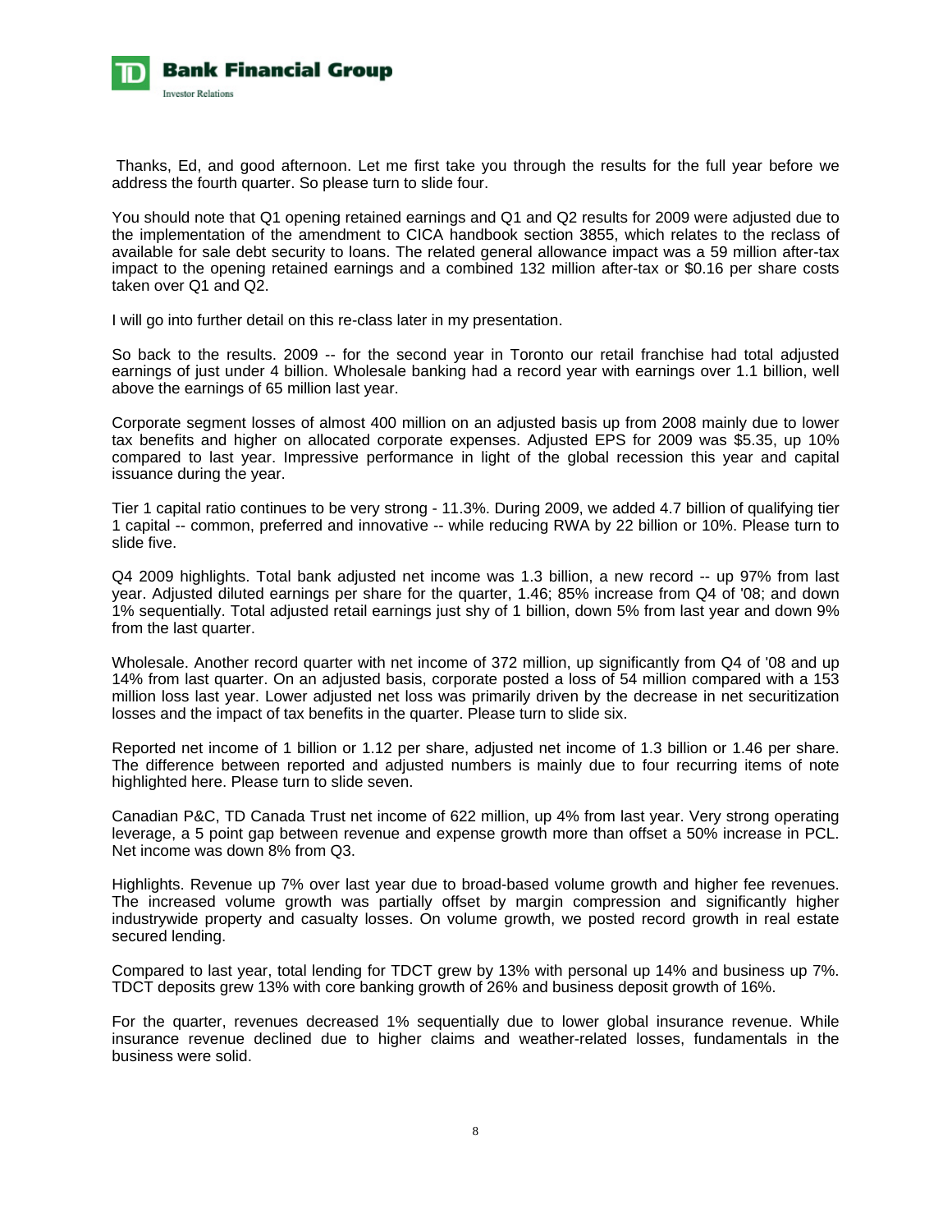

 Thanks, Ed, and good afternoon. Let me first take you through the results for the full year before we address the fourth quarter. So please turn to slide four.

You should note that Q1 opening retained earnings and Q1 and Q2 results for 2009 were adjusted due to the implementation of the amendment to CICA handbook section 3855, which relates to the reclass of available for sale debt security to loans. The related general allowance impact was a 59 million after-tax impact to the opening retained earnings and a combined 132 million after-tax or \$0.16 per share costs taken over Q1 and Q2.

I will go into further detail on this re-class later in my presentation.

So back to the results. 2009 -- for the second year in Toronto our retail franchise had total adjusted earnings of just under 4 billion. Wholesale banking had a record year with earnings over 1.1 billion, well above the earnings of 65 million last year.

Corporate segment losses of almost 400 million on an adjusted basis up from 2008 mainly due to lower tax benefits and higher on allocated corporate expenses. Adjusted EPS for 2009 was \$5.35, up 10% compared to last year. Impressive performance in light of the global recession this year and capital issuance during the year.

Tier 1 capital ratio continues to be very strong - 11.3%. During 2009, we added 4.7 billion of qualifying tier 1 capital -- common, preferred and innovative -- while reducing RWA by 22 billion or 10%. Please turn to slide five.

Q4 2009 highlights. Total bank adjusted net income was 1.3 billion, a new record -- up 97% from last year. Adjusted diluted earnings per share for the quarter, 1.46; 85% increase from Q4 of '08; and down 1% sequentially. Total adjusted retail earnings just shy of 1 billion, down 5% from last year and down 9% from the last quarter.

Wholesale. Another record quarter with net income of 372 million, up significantly from Q4 of '08 and up 14% from last quarter. On an adjusted basis, corporate posted a loss of 54 million compared with a 153 million loss last year. Lower adjusted net loss was primarily driven by the decrease in net securitization losses and the impact of tax benefits in the quarter. Please turn to slide six.

Reported net income of 1 billion or 1.12 per share, adjusted net income of 1.3 billion or 1.46 per share. The difference between reported and adjusted numbers is mainly due to four recurring items of note highlighted here. Please turn to slide seven.

Canadian P&C, TD Canada Trust net income of 622 million, up 4% from last year. Very strong operating leverage, a 5 point gap between revenue and expense growth more than offset a 50% increase in PCL. Net income was down 8% from Q3.

Highlights. Revenue up 7% over last year due to broad-based volume growth and higher fee revenues. The increased volume growth was partially offset by margin compression and significantly higher industrywide property and casualty losses. On volume growth, we posted record growth in real estate secured lending.

Compared to last year, total lending for TDCT grew by 13% with personal up 14% and business up 7%. TDCT deposits grew 13% with core banking growth of 26% and business deposit growth of 16%.

For the quarter, revenues decreased 1% sequentially due to lower global insurance revenue. While insurance revenue declined due to higher claims and weather-related losses, fundamentals in the business were solid.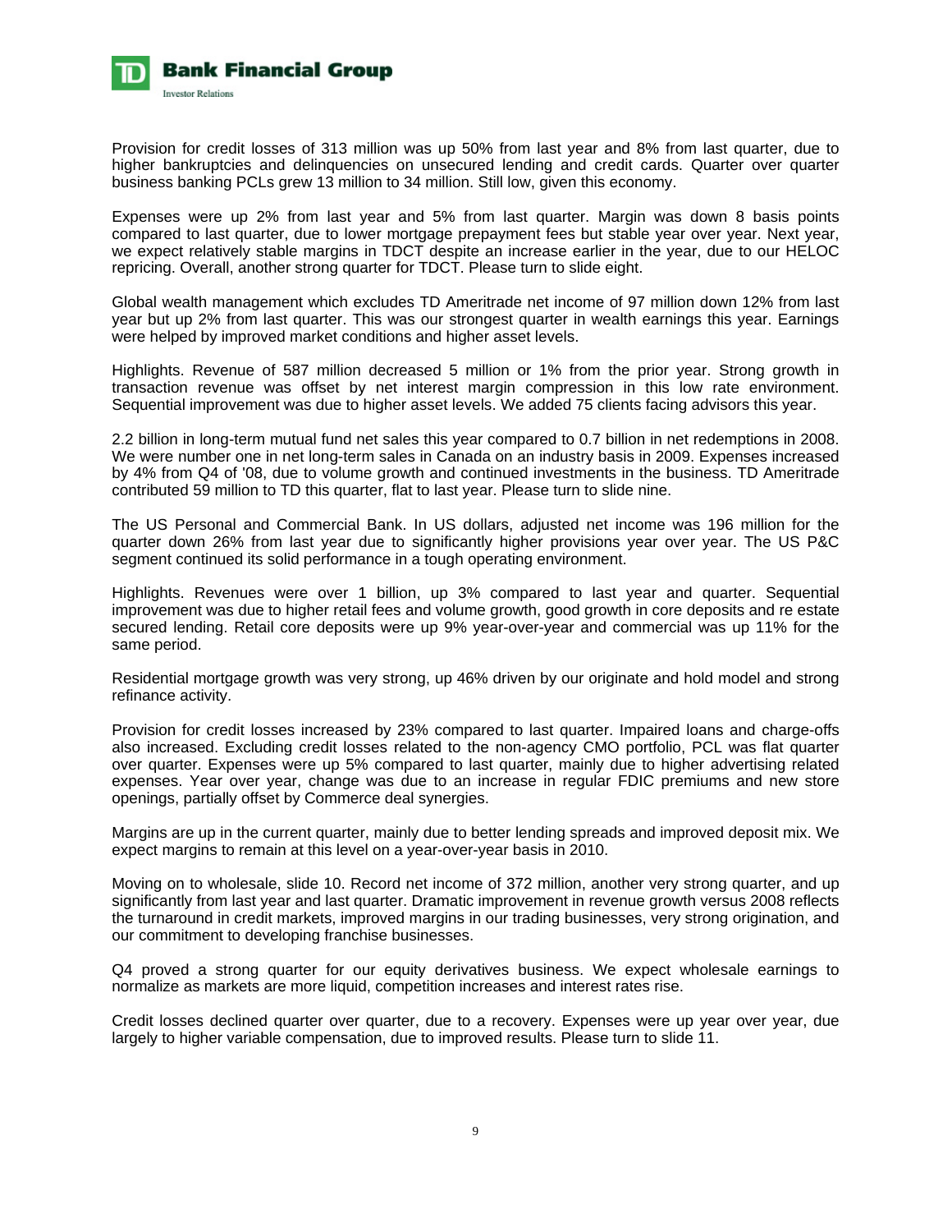

Provision for credit losses of 313 million was up 50% from last year and 8% from last quarter, due to higher bankruptcies and delinquencies on unsecured lending and credit cards. Quarter over quarter business banking PCLs grew 13 million to 34 million. Still low, given this economy.

Expenses were up 2% from last year and 5% from last quarter. Margin was down 8 basis points compared to last quarter, due to lower mortgage prepayment fees but stable year over year. Next year, we expect relatively stable margins in TDCT despite an increase earlier in the year, due to our HELOC repricing. Overall, another strong quarter for TDCT. Please turn to slide eight.

Global wealth management which excludes TD Ameritrade net income of 97 million down 12% from last year but up 2% from last quarter. This was our strongest quarter in wealth earnings this year. Earnings were helped by improved market conditions and higher asset levels.

Highlights. Revenue of 587 million decreased 5 million or 1% from the prior year. Strong growth in transaction revenue was offset by net interest margin compression in this low rate environment. Sequential improvement was due to higher asset levels. We added 75 clients facing advisors this year.

2.2 billion in long-term mutual fund net sales this year compared to 0.7 billion in net redemptions in 2008. We were number one in net long-term sales in Canada on an industry basis in 2009. Expenses increased by 4% from Q4 of '08, due to volume growth and continued investments in the business. TD Ameritrade contributed 59 million to TD this quarter, flat to last year. Please turn to slide nine.

The US Personal and Commercial Bank. In US dollars, adjusted net income was 196 million for the quarter down 26% from last year due to significantly higher provisions year over year. The US P&C segment continued its solid performance in a tough operating environment.

Highlights. Revenues were over 1 billion, up 3% compared to last year and quarter. Sequential improvement was due to higher retail fees and volume growth, good growth in core deposits and re estate secured lending. Retail core deposits were up 9% year-over-year and commercial was up 11% for the same period.

Residential mortgage growth was very strong, up 46% driven by our originate and hold model and strong refinance activity.

Provision for credit losses increased by 23% compared to last quarter. Impaired loans and charge-offs also increased. Excluding credit losses related to the non-agency CMO portfolio, PCL was flat quarter over quarter. Expenses were up 5% compared to last quarter, mainly due to higher advertising related expenses. Year over year, change was due to an increase in regular FDIC premiums and new store openings, partially offset by Commerce deal synergies.

Margins are up in the current quarter, mainly due to better lending spreads and improved deposit mix. We expect margins to remain at this level on a year-over-year basis in 2010.

Moving on to wholesale, slide 10. Record net income of 372 million, another very strong quarter, and up significantly from last year and last quarter. Dramatic improvement in revenue growth versus 2008 reflects the turnaround in credit markets, improved margins in our trading businesses, very strong origination, and our commitment to developing franchise businesses.

Q4 proved a strong quarter for our equity derivatives business. We expect wholesale earnings to normalize as markets are more liquid, competition increases and interest rates rise.

Credit losses declined quarter over quarter, due to a recovery. Expenses were up year over year, due largely to higher variable compensation, due to improved results. Please turn to slide 11.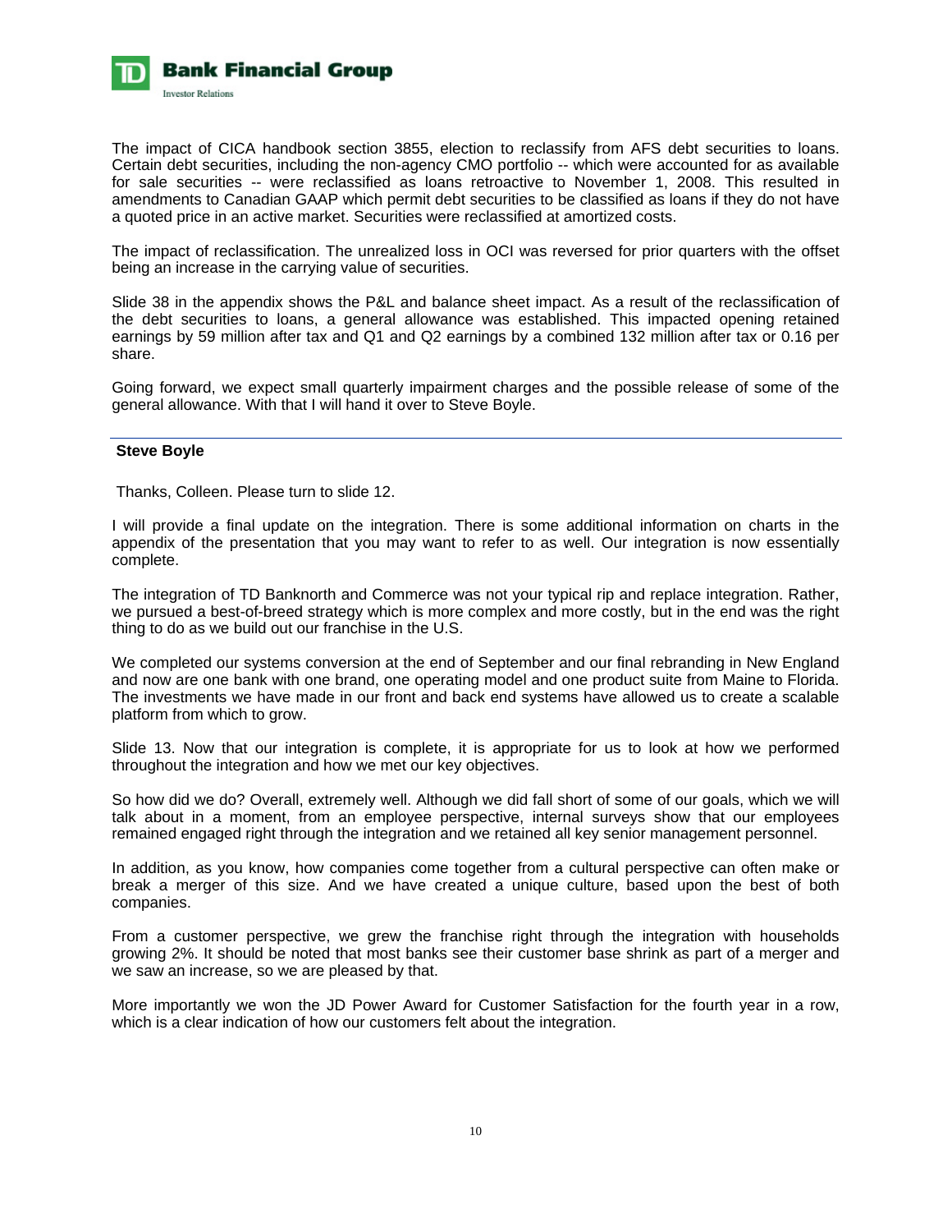

The impact of CICA handbook section 3855, election to reclassify from AFS debt securities to loans. Certain debt securities, including the non-agency CMO portfolio -- which were accounted for as available for sale securities -- were reclassified as loans retroactive to November 1, 2008. This resulted in amendments to Canadian GAAP which permit debt securities to be classified as loans if they do not have a quoted price in an active market. Securities were reclassified at amortized costs.

The impact of reclassification. The unrealized loss in OCI was reversed for prior quarters with the offset being an increase in the carrying value of securities.

Slide 38 in the appendix shows the P&L and balance sheet impact. As a result of the reclassification of the debt securities to loans, a general allowance was established. This impacted opening retained earnings by 59 million after tax and Q1 and Q2 earnings by a combined 132 million after tax or 0.16 per share.

Going forward, we expect small quarterly impairment charges and the possible release of some of the general allowance. With that I will hand it over to Steve Boyle.

# **Steve Boyle**

Thanks, Colleen. Please turn to slide 12.

I will provide a final update on the integration. There is some additional information on charts in the appendix of the presentation that you may want to refer to as well. Our integration is now essentially complete.

The integration of TD Banknorth and Commerce was not your typical rip and replace integration. Rather, we pursued a best-of-breed strategy which is more complex and more costly, but in the end was the right thing to do as we build out our franchise in the U.S.

We completed our systems conversion at the end of September and our final rebranding in New England and now are one bank with one brand, one operating model and one product suite from Maine to Florida. The investments we have made in our front and back end systems have allowed us to create a scalable platform from which to grow.

Slide 13. Now that our integration is complete, it is appropriate for us to look at how we performed throughout the integration and how we met our key objectives.

So how did we do? Overall, extremely well. Although we did fall short of some of our goals, which we will talk about in a moment, from an employee perspective, internal surveys show that our employees remained engaged right through the integration and we retained all key senior management personnel.

In addition, as you know, how companies come together from a cultural perspective can often make or break a merger of this size. And we have created a unique culture, based upon the best of both companies.

From a customer perspective, we grew the franchise right through the integration with households growing 2%. It should be noted that most banks see their customer base shrink as part of a merger and we saw an increase, so we are pleased by that.

More importantly we won the JD Power Award for Customer Satisfaction for the fourth year in a row, which is a clear indication of how our customers felt about the integration.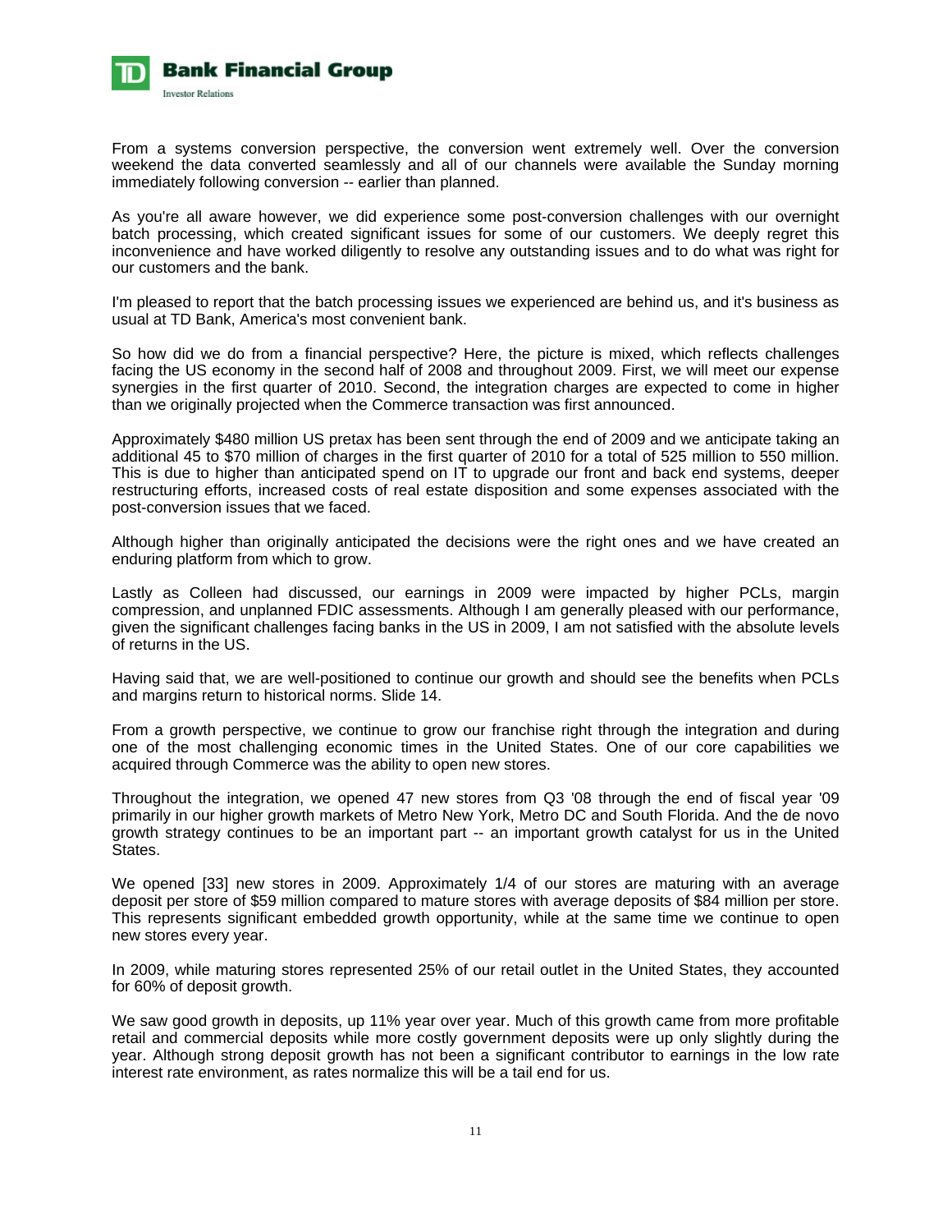

From a systems conversion perspective, the conversion went extremely well. Over the conversion weekend the data converted seamlessly and all of our channels were available the Sunday morning immediately following conversion -- earlier than planned.

As you're all aware however, we did experience some post-conversion challenges with our overnight batch processing, which created significant issues for some of our customers. We deeply regret this inconvenience and have worked diligently to resolve any outstanding issues and to do what was right for our customers and the bank.

I'm pleased to report that the batch processing issues we experienced are behind us, and it's business as usual at TD Bank, America's most convenient bank.

So how did we do from a financial perspective? Here, the picture is mixed, which reflects challenges facing the US economy in the second half of 2008 and throughout 2009. First, we will meet our expense synergies in the first quarter of 2010. Second, the integration charges are expected to come in higher than we originally projected when the Commerce transaction was first announced.

Approximately \$480 million US pretax has been sent through the end of 2009 and we anticipate taking an additional 45 to \$70 million of charges in the first quarter of 2010 for a total of 525 million to 550 million. This is due to higher than anticipated spend on IT to upgrade our front and back end systems, deeper restructuring efforts, increased costs of real estate disposition and some expenses associated with the post-conversion issues that we faced.

Although higher than originally anticipated the decisions were the right ones and we have created an enduring platform from which to grow.

Lastly as Colleen had discussed, our earnings in 2009 were impacted by higher PCLs, margin compression, and unplanned FDIC assessments. Although I am generally pleased with our performance, given the significant challenges facing banks in the US in 2009, I am not satisfied with the absolute levels of returns in the US.

Having said that, we are well-positioned to continue our growth and should see the benefits when PCLs and margins return to historical norms. Slide 14.

From a growth perspective, we continue to grow our franchise right through the integration and during one of the most challenging economic times in the United States. One of our core capabilities we acquired through Commerce was the ability to open new stores.

Throughout the integration, we opened 47 new stores from Q3 '08 through the end of fiscal year '09 primarily in our higher growth markets of Metro New York, Metro DC and South Florida. And the de novo growth strategy continues to be an important part -- an important growth catalyst for us in the United States.

We opened [33] new stores in 2009. Approximately 1/4 of our stores are maturing with an average deposit per store of \$59 million compared to mature stores with average deposits of \$84 million per store. This represents significant embedded growth opportunity, while at the same time we continue to open new stores every year.

In 2009, while maturing stores represented 25% of our retail outlet in the United States, they accounted for 60% of deposit growth.

We saw good growth in deposits, up 11% year over year. Much of this growth came from more profitable retail and commercial deposits while more costly government deposits were up only slightly during the year. Although strong deposit growth has not been a significant contributor to earnings in the low rate interest rate environment, as rates normalize this will be a tail end for us.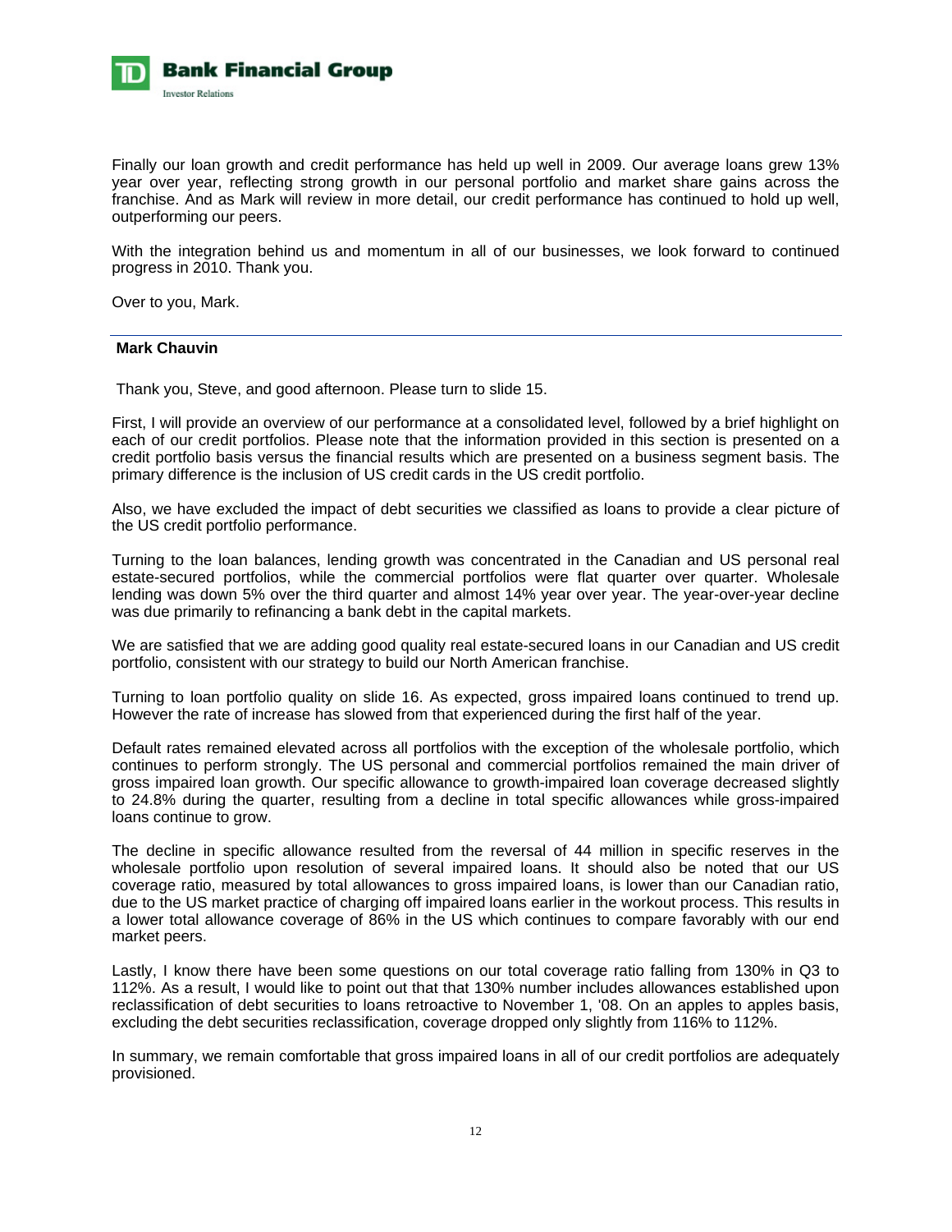

Finally our loan growth and credit performance has held up well in 2009. Our average loans grew 13% year over year, reflecting strong growth in our personal portfolio and market share gains across the franchise. And as Mark will review in more detail, our credit performance has continued to hold up well, outperforming our peers.

With the integration behind us and momentum in all of our businesses, we look forward to continued progress in 2010. Thank you.

Over to you, Mark.

# **Mark Chauvin**

Thank you, Steve, and good afternoon. Please turn to slide 15.

First, I will provide an overview of our performance at a consolidated level, followed by a brief highlight on each of our credit portfolios. Please note that the information provided in this section is presented on a credit portfolio basis versus the financial results which are presented on a business segment basis. The primary difference is the inclusion of US credit cards in the US credit portfolio.

Also, we have excluded the impact of debt securities we classified as loans to provide a clear picture of the US credit portfolio performance.

Turning to the loan balances, lending growth was concentrated in the Canadian and US personal real estate-secured portfolios, while the commercial portfolios were flat quarter over quarter. Wholesale lending was down 5% over the third quarter and almost 14% year over year. The year-over-year decline was due primarily to refinancing a bank debt in the capital markets.

We are satisfied that we are adding good quality real estate-secured loans in our Canadian and US credit portfolio, consistent with our strategy to build our North American franchise.

Turning to loan portfolio quality on slide 16. As expected, gross impaired loans continued to trend up. However the rate of increase has slowed from that experienced during the first half of the year.

Default rates remained elevated across all portfolios with the exception of the wholesale portfolio, which continues to perform strongly. The US personal and commercial portfolios remained the main driver of gross impaired loan growth. Our specific allowance to growth-impaired loan coverage decreased slightly to 24.8% during the quarter, resulting from a decline in total specific allowances while gross-impaired loans continue to grow.

The decline in specific allowance resulted from the reversal of 44 million in specific reserves in the wholesale portfolio upon resolution of several impaired loans. It should also be noted that our US coverage ratio, measured by total allowances to gross impaired loans, is lower than our Canadian ratio, due to the US market practice of charging off impaired loans earlier in the workout process. This results in a lower total allowance coverage of 86% in the US which continues to compare favorably with our end market peers.

Lastly, I know there have been some questions on our total coverage ratio falling from 130% in Q3 to 112%. As a result, I would like to point out that that 130% number includes allowances established upon reclassification of debt securities to loans retroactive to November 1, '08. On an apples to apples basis, excluding the debt securities reclassification, coverage dropped only slightly from 116% to 112%.

In summary, we remain comfortable that gross impaired loans in all of our credit portfolios are adequately provisioned.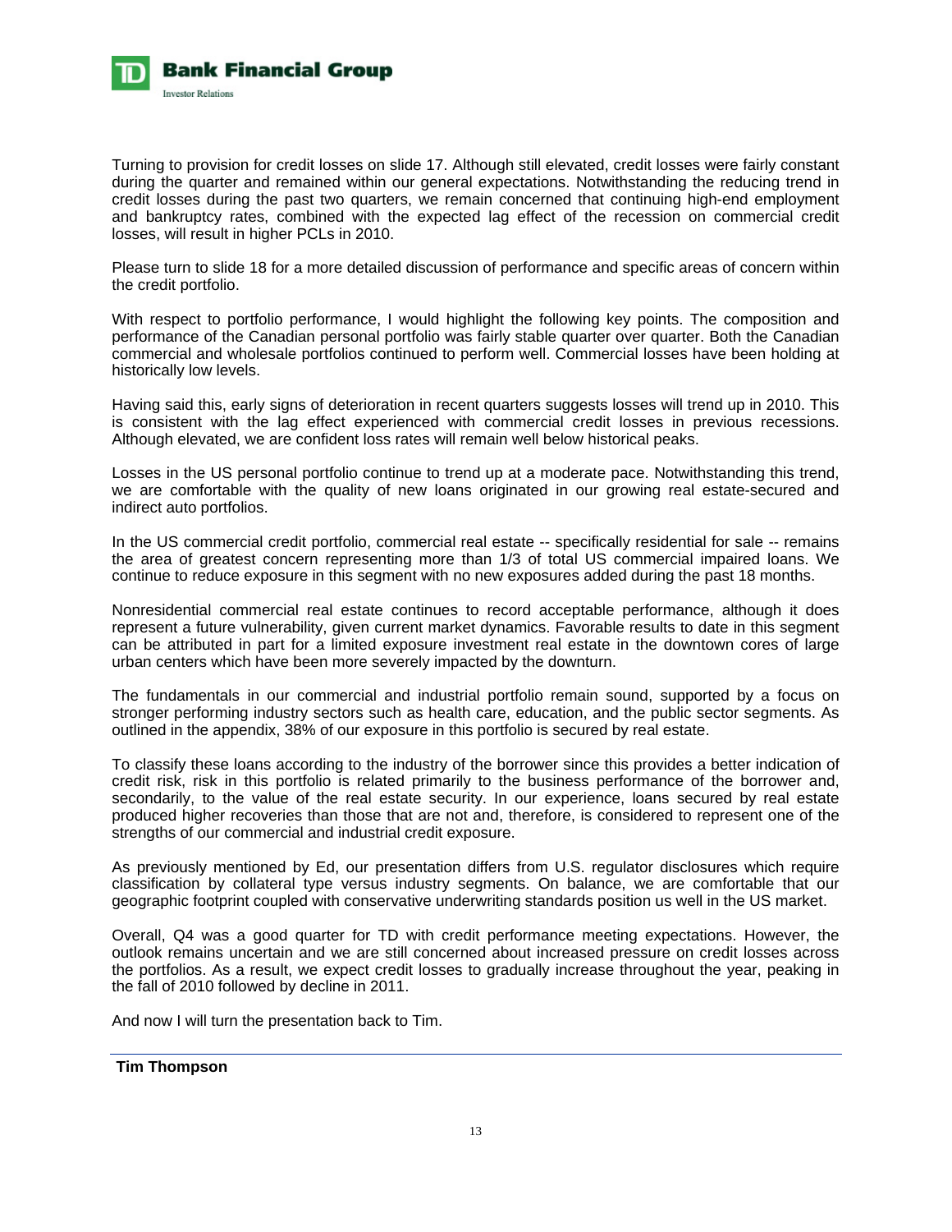

Turning to provision for credit losses on slide 17. Although still elevated, credit losses were fairly constant during the quarter and remained within our general expectations. Notwithstanding the reducing trend in credit losses during the past two quarters, we remain concerned that continuing high-end employment and bankruptcy rates, combined with the expected lag effect of the recession on commercial credit losses, will result in higher PCLs in 2010.

Please turn to slide 18 for a more detailed discussion of performance and specific areas of concern within the credit portfolio.

With respect to portfolio performance, I would highlight the following key points. The composition and performance of the Canadian personal portfolio was fairly stable quarter over quarter. Both the Canadian commercial and wholesale portfolios continued to perform well. Commercial losses have been holding at historically low levels.

Having said this, early signs of deterioration in recent quarters suggests losses will trend up in 2010. This is consistent with the lag effect experienced with commercial credit losses in previous recessions. Although elevated, we are confident loss rates will remain well below historical peaks.

Losses in the US personal portfolio continue to trend up at a moderate pace. Notwithstanding this trend, we are comfortable with the quality of new loans originated in our growing real estate-secured and indirect auto portfolios.

In the US commercial credit portfolio, commercial real estate -- specifically residential for sale -- remains the area of greatest concern representing more than 1/3 of total US commercial impaired loans. We continue to reduce exposure in this segment with no new exposures added during the past 18 months.

Nonresidential commercial real estate continues to record acceptable performance, although it does represent a future vulnerability, given current market dynamics. Favorable results to date in this segment can be attributed in part for a limited exposure investment real estate in the downtown cores of large urban centers which have been more severely impacted by the downturn.

The fundamentals in our commercial and industrial portfolio remain sound, supported by a focus on stronger performing industry sectors such as health care, education, and the public sector segments. As outlined in the appendix, 38% of our exposure in this portfolio is secured by real estate.

To classify these loans according to the industry of the borrower since this provides a better indication of credit risk, risk in this portfolio is related primarily to the business performance of the borrower and, secondarily, to the value of the real estate security. In our experience, loans secured by real estate produced higher recoveries than those that are not and, therefore, is considered to represent one of the strengths of our commercial and industrial credit exposure.

As previously mentioned by Ed, our presentation differs from U.S. regulator disclosures which require classification by collateral type versus industry segments. On balance, we are comfortable that our geographic footprint coupled with conservative underwriting standards position us well in the US market.

Overall, Q4 was a good quarter for TD with credit performance meeting expectations. However, the outlook remains uncertain and we are still concerned about increased pressure on credit losses across the portfolios. As a result, we expect credit losses to gradually increase throughout the year, peaking in the fall of 2010 followed by decline in 2011.

And now I will turn the presentation back to Tim.

# **Tim Thompson**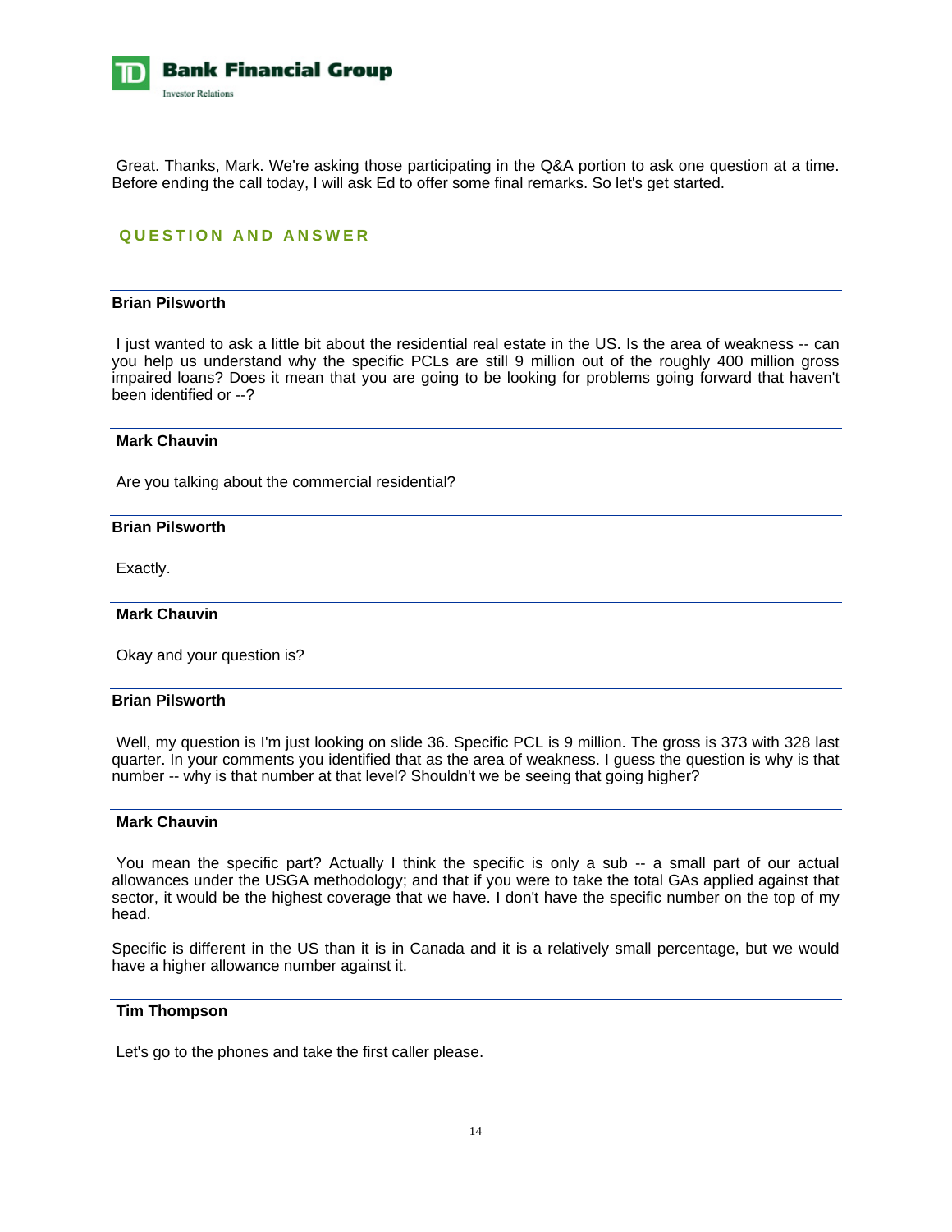

 Great. Thanks, Mark. We're asking those participating in the Q&A portion to ask one question at a time. Before ending the call today, I will ask Ed to offer some final remarks. So let's get started.

# **QUESTION AND ANSWER**

# **Brian Pilsworth**

 I just wanted to ask a little bit about the residential real estate in the US. Is the area of weakness -- can you help us understand why the specific PCLs are still 9 million out of the roughly 400 million gross impaired loans? Does it mean that you are going to be looking for problems going forward that haven't been identified or --?

#### **Mark Chauvin**

Are you talking about the commercial residential?

#### **Brian Pilsworth**

Exactly.

#### **Mark Chauvin**

Okay and your question is?

# **Brian Pilsworth**

 Well, my question is I'm just looking on slide 36. Specific PCL is 9 million. The gross is 373 with 328 last quarter. In your comments you identified that as the area of weakness. I guess the question is why is that number -- why is that number at that level? Shouldn't we be seeing that going higher?

#### **Mark Chauvin**

You mean the specific part? Actually I think the specific is only a sub -- a small part of our actual allowances under the USGA methodology; and that if you were to take the total GAs applied against that sector, it would be the highest coverage that we have. I don't have the specific number on the top of my head.

Specific is different in the US than it is in Canada and it is a relatively small percentage, but we would have a higher allowance number against it.

# **Tim Thompson**

Let's go to the phones and take the first caller please.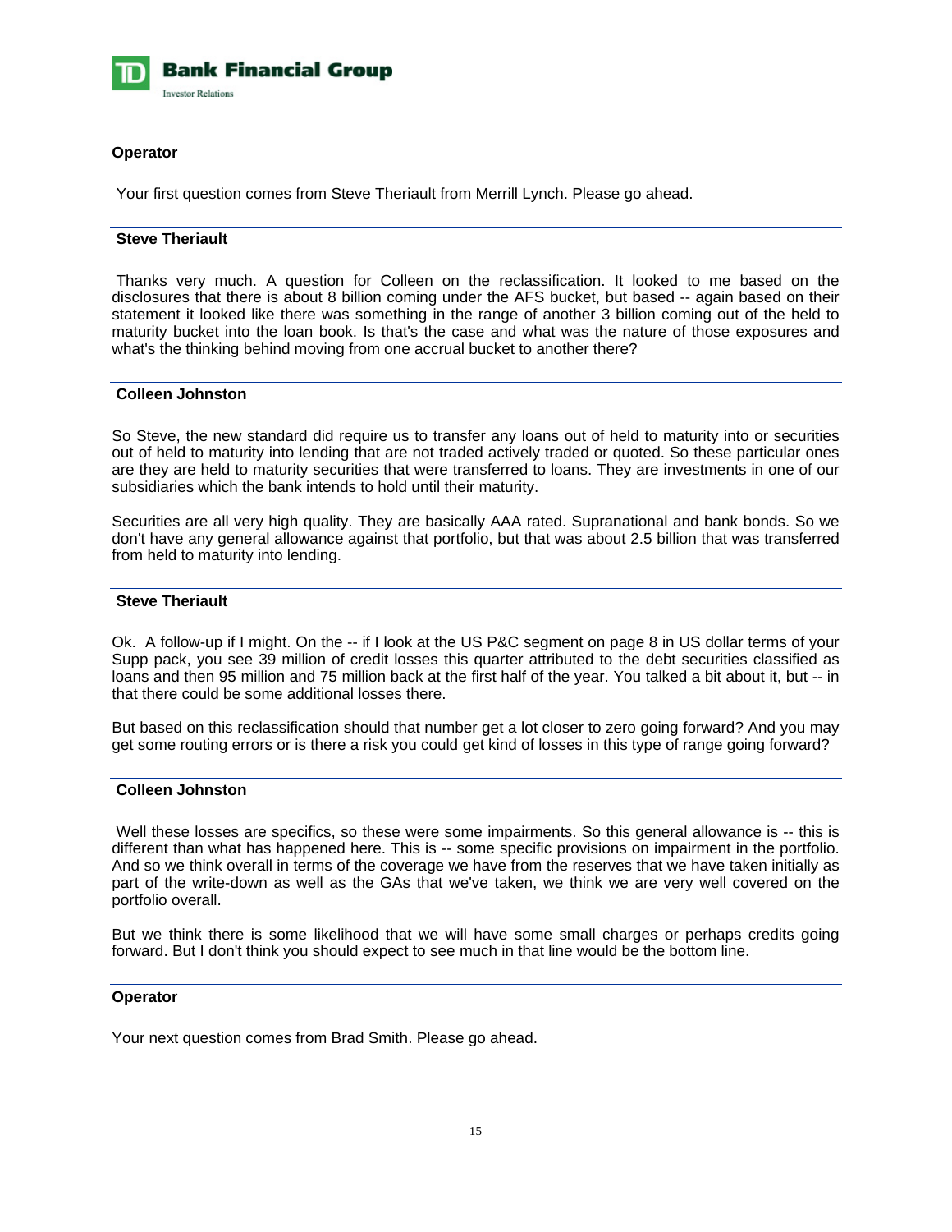

# **Operator**

Your first question comes from Steve Theriault from Merrill Lynch. Please go ahead.

# **Steve Theriault**

 Thanks very much. A question for Colleen on the reclassification. It looked to me based on the disclosures that there is about 8 billion coming under the AFS bucket, but based -- again based on their statement it looked like there was something in the range of another 3 billion coming out of the held to maturity bucket into the loan book. Is that's the case and what was the nature of those exposures and what's the thinking behind moving from one accrual bucket to another there?

# **Colleen Johnston**

So Steve, the new standard did require us to transfer any loans out of held to maturity into or securities out of held to maturity into lending that are not traded actively traded or quoted. So these particular ones are they are held to maturity securities that were transferred to loans. They are investments in one of our subsidiaries which the bank intends to hold until their maturity.

Securities are all very high quality. They are basically AAA rated. Supranational and bank bonds. So we don't have any general allowance against that portfolio, but that was about 2.5 billion that was transferred from held to maturity into lending.

# **Steve Theriault**

Ok. A follow-up if I might. On the -- if I look at the US P&C segment on page 8 in US dollar terms of your Supp pack, you see 39 million of credit losses this quarter attributed to the debt securities classified as loans and then 95 million and 75 million back at the first half of the year. You talked a bit about it, but -- in that there could be some additional losses there.

But based on this reclassification should that number get a lot closer to zero going forward? And you may get some routing errors or is there a risk you could get kind of losses in this type of range going forward?

# **Colleen Johnston**

Well these losses are specifics, so these were some impairments. So this general allowance is -- this is different than what has happened here. This is -- some specific provisions on impairment in the portfolio. And so we think overall in terms of the coverage we have from the reserves that we have taken initially as part of the write-down as well as the GAs that we've taken, we think we are very well covered on the portfolio overall.

But we think there is some likelihood that we will have some small charges or perhaps credits going forward. But I don't think you should expect to see much in that line would be the bottom line.

# **Operator**

Your next question comes from Brad Smith. Please go ahead.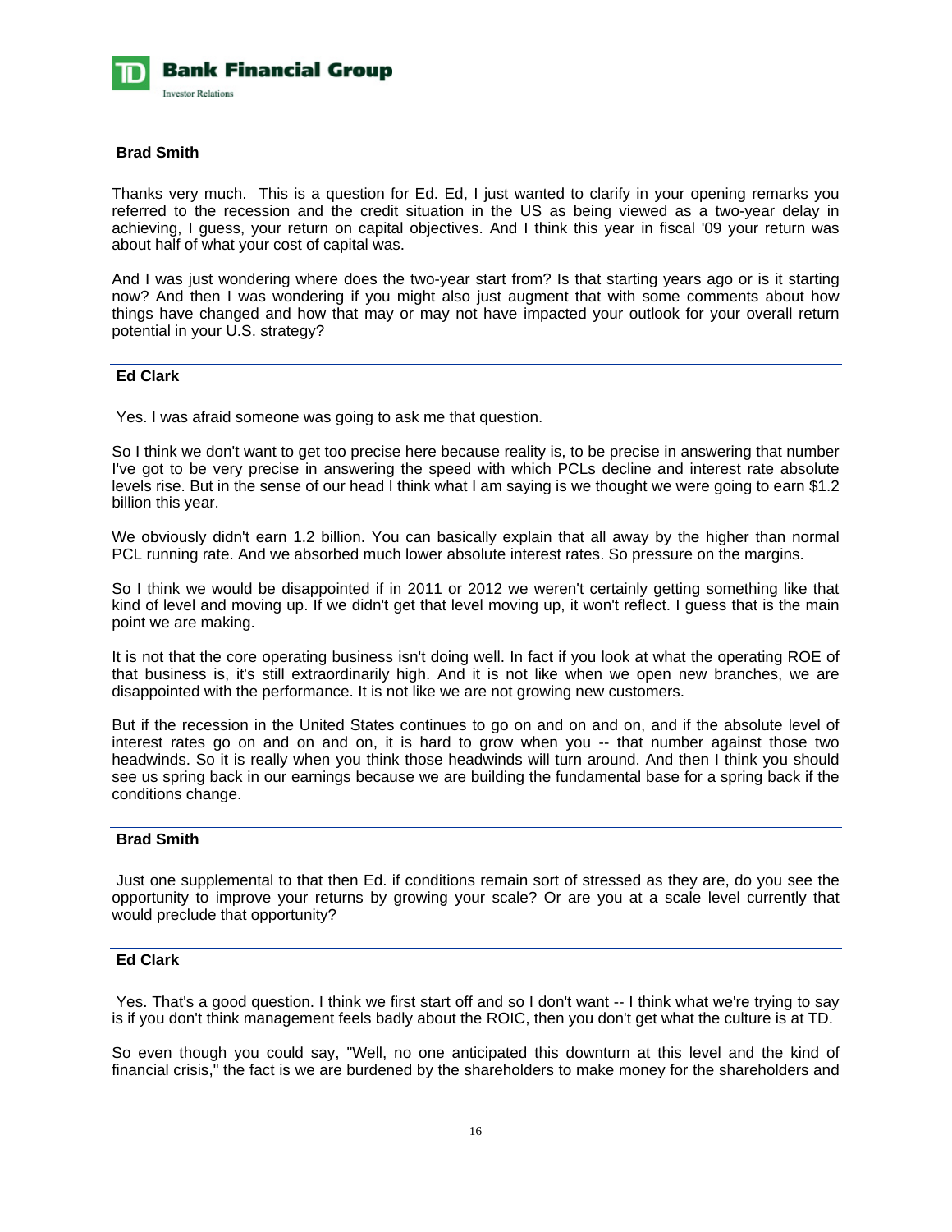

# **Brad Smith**

Thanks very much. This is a question for Ed. Ed, I just wanted to clarify in your opening remarks you referred to the recession and the credit situation in the US as being viewed as a two-year delay in achieving, I guess, your return on capital objectives. And I think this year in fiscal '09 your return was about half of what your cost of capital was.

And I was just wondering where does the two-year start from? Is that starting years ago or is it starting now? And then I was wondering if you might also just augment that with some comments about how things have changed and how that may or may not have impacted your outlook for your overall return potential in your U.S. strategy?

# **Ed Clark**

Yes. I was afraid someone was going to ask me that question.

So I think we don't want to get too precise here because reality is, to be precise in answering that number I've got to be very precise in answering the speed with which PCLs decline and interest rate absolute levels rise. But in the sense of our head I think what I am saying is we thought we were going to earn \$1.2 billion this year.

We obviously didn't earn 1.2 billion. You can basically explain that all away by the higher than normal PCL running rate. And we absorbed much lower absolute interest rates. So pressure on the margins.

So I think we would be disappointed if in 2011 or 2012 we weren't certainly getting something like that kind of level and moving up. If we didn't get that level moving up, it won't reflect. I guess that is the main point we are making.

It is not that the core operating business isn't doing well. In fact if you look at what the operating ROE of that business is, it's still extraordinarily high. And it is not like when we open new branches, we are disappointed with the performance. It is not like we are not growing new customers.

But if the recession in the United States continues to go on and on and on, and if the absolute level of interest rates go on and on and on, it is hard to grow when you -- that number against those two headwinds. So it is really when you think those headwinds will turn around. And then I think you should see us spring back in our earnings because we are building the fundamental base for a spring back if the conditions change.

# **Brad Smith**

 Just one supplemental to that then Ed. if conditions remain sort of stressed as they are, do you see the opportunity to improve your returns by growing your scale? Or are you at a scale level currently that would preclude that opportunity?

# **Ed Clark**

 Yes. That's a good question. I think we first start off and so I don't want -- I think what we're trying to say is if you don't think management feels badly about the ROIC, then you don't get what the culture is at TD.

So even though you could say, "Well, no one anticipated this downturn at this level and the kind of financial crisis," the fact is we are burdened by the shareholders to make money for the shareholders and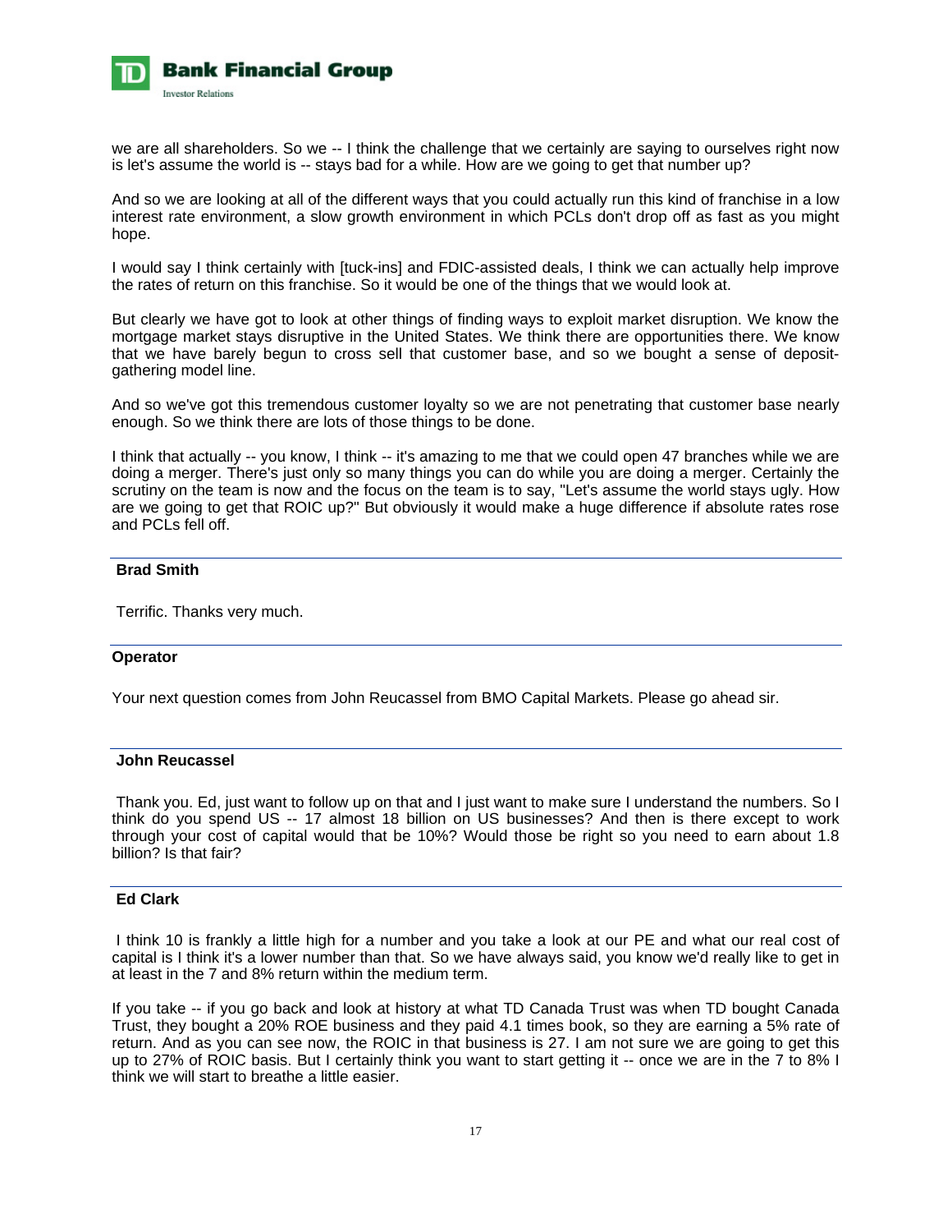

we are all shareholders. So we -- I think the challenge that we certainly are saying to ourselves right now is let's assume the world is -- stays bad for a while. How are we going to get that number up?

And so we are looking at all of the different ways that you could actually run this kind of franchise in a low interest rate environment, a slow growth environment in which PCLs don't drop off as fast as you might hope.

I would say I think certainly with [tuck-ins] and FDIC-assisted deals, I think we can actually help improve the rates of return on this franchise. So it would be one of the things that we would look at.

But clearly we have got to look at other things of finding ways to exploit market disruption. We know the mortgage market stays disruptive in the United States. We think there are opportunities there. We know that we have barely begun to cross sell that customer base, and so we bought a sense of depositgathering model line.

And so we've got this tremendous customer loyalty so we are not penetrating that customer base nearly enough. So we think there are lots of those things to be done.

I think that actually -- you know, I think -- it's amazing to me that we could open 47 branches while we are doing a merger. There's just only so many things you can do while you are doing a merger. Certainly the scrutiny on the team is now and the focus on the team is to say, "Let's assume the world stays ugly. How are we going to get that ROIC up?" But obviously it would make a huge difference if absolute rates rose and PCLs fell off.

# **Brad Smith**

Terrific. Thanks very much.

# **Operator**

Your next question comes from John Reucassel from BMO Capital Markets. Please go ahead sir.

# **John Reucassel**

 Thank you. Ed, just want to follow up on that and I just want to make sure I understand the numbers. So I think do you spend US -- 17 almost 18 billion on US businesses? And then is there except to work through your cost of capital would that be 10%? Would those be right so you need to earn about 1.8 billion? Is that fair?

# **Ed Clark**

 I think 10 is frankly a little high for a number and you take a look at our PE and what our real cost of capital is I think it's a lower number than that. So we have always said, you know we'd really like to get in at least in the 7 and 8% return within the medium term.

If you take -- if you go back and look at history at what TD Canada Trust was when TD bought Canada Trust, they bought a 20% ROE business and they paid 4.1 times book, so they are earning a 5% rate of return. And as you can see now, the ROIC in that business is 27. I am not sure we are going to get this up to 27% of ROIC basis. But I certainly think you want to start getting it -- once we are in the 7 to 8% I think we will start to breathe a little easier.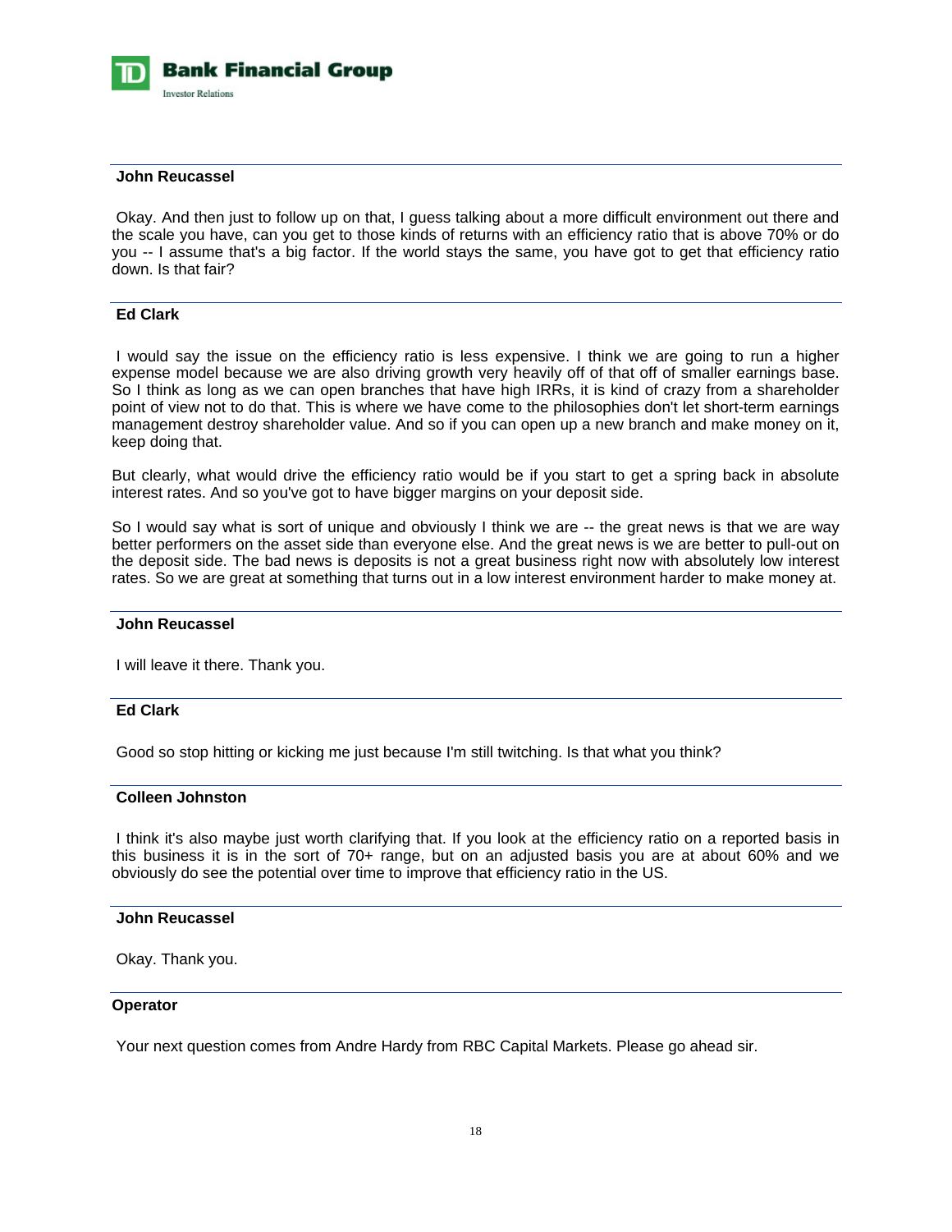

#### **John Reucassel**

 Okay. And then just to follow up on that, I guess talking about a more difficult environment out there and the scale you have, can you get to those kinds of returns with an efficiency ratio that is above 70% or do you -- I assume that's a big factor. If the world stays the same, you have got to get that efficiency ratio down. Is that fair?

#### **Ed Clark**

 I would say the issue on the efficiency ratio is less expensive. I think we are going to run a higher expense model because we are also driving growth very heavily off of that off of smaller earnings base. So I think as long as we can open branches that have high IRRs, it is kind of crazy from a shareholder point of view not to do that. This is where we have come to the philosophies don't let short-term earnings management destroy shareholder value. And so if you can open up a new branch and make money on it, keep doing that.

But clearly, what would drive the efficiency ratio would be if you start to get a spring back in absolute interest rates. And so you've got to have bigger margins on your deposit side.

So I would say what is sort of unique and obviously I think we are -- the great news is that we are way better performers on the asset side than everyone else. And the great news is we are better to pull-out on the deposit side. The bad news is deposits is not a great business right now with absolutely low interest rates. So we are great at something that turns out in a low interest environment harder to make money at.

# **John Reucassel**

I will leave it there. Thank you.

# **Ed Clark**

Good so stop hitting or kicking me just because I'm still twitching. Is that what you think?

# **Colleen Johnston**

 I think it's also maybe just worth clarifying that. If you look at the efficiency ratio on a reported basis in this business it is in the sort of 70+ range, but on an adjusted basis you are at about 60% and we obviously do see the potential over time to improve that efficiency ratio in the US.

#### **John Reucassel**

Okay. Thank you.

#### **Operator**

Your next question comes from Andre Hardy from RBC Capital Markets. Please go ahead sir.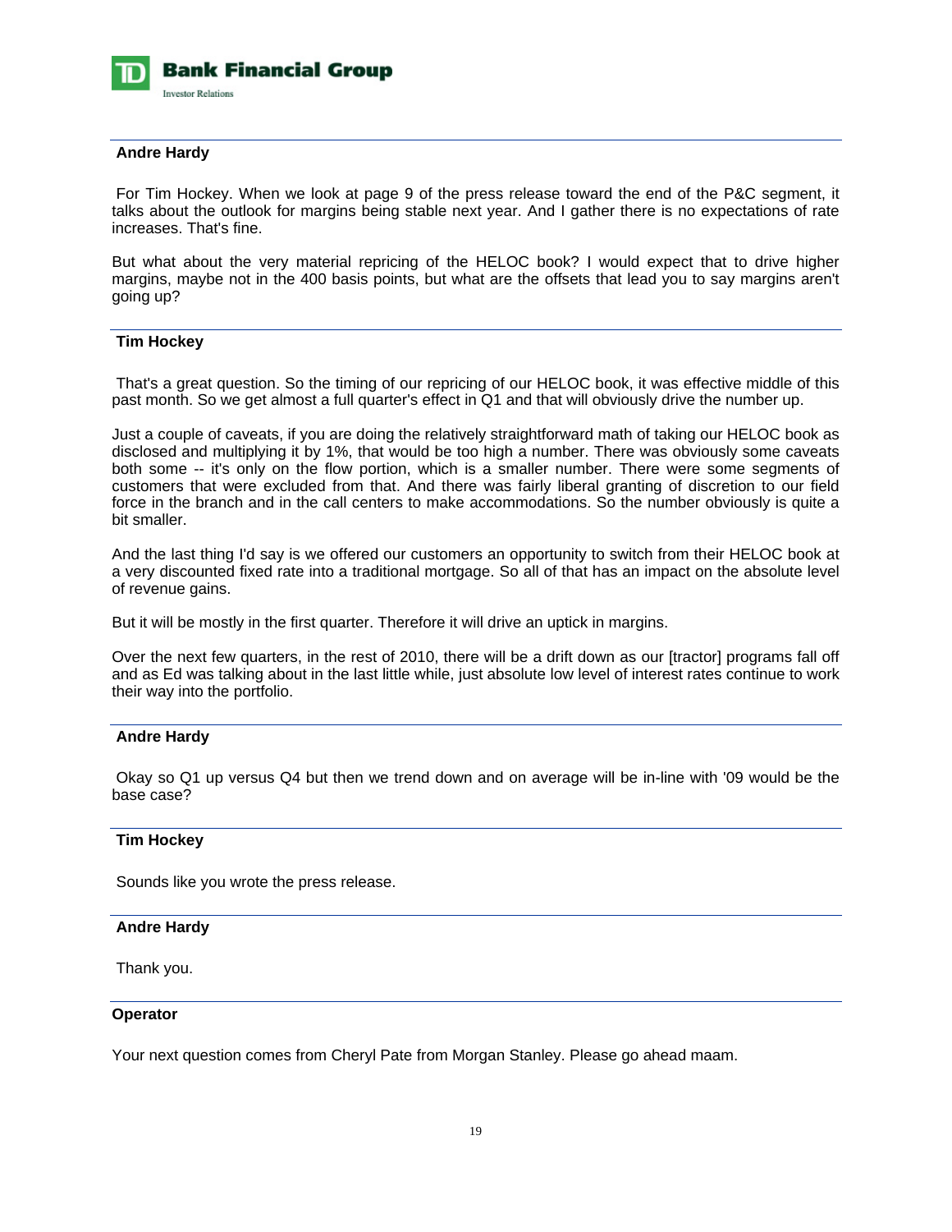

# **Andre Hardy**

 For Tim Hockey. When we look at page 9 of the press release toward the end of the P&C segment, it talks about the outlook for margins being stable next year. And I gather there is no expectations of rate increases. That's fine.

But what about the very material repricing of the HELOC book? I would expect that to drive higher margins, maybe not in the 400 basis points, but what are the offsets that lead you to say margins aren't going up?

#### **Tim Hockey**

 That's a great question. So the timing of our repricing of our HELOC book, it was effective middle of this past month. So we get almost a full quarter's effect in Q1 and that will obviously drive the number up.

Just a couple of caveats, if you are doing the relatively straightforward math of taking our HELOC book as disclosed and multiplying it by 1%, that would be too high a number. There was obviously some caveats both some -- it's only on the flow portion, which is a smaller number. There were some segments of customers that were excluded from that. And there was fairly liberal granting of discretion to our field force in the branch and in the call centers to make accommodations. So the number obviously is quite a bit smaller.

And the last thing I'd say is we offered our customers an opportunity to switch from their HELOC book at a very discounted fixed rate into a traditional mortgage. So all of that has an impact on the absolute level of revenue gains.

But it will be mostly in the first quarter. Therefore it will drive an uptick in margins.

Over the next few quarters, in the rest of 2010, there will be a drift down as our [tractor] programs fall off and as Ed was talking about in the last little while, just absolute low level of interest rates continue to work their way into the portfolio.

# **Andre Hardy**

 Okay so Q1 up versus Q4 but then we trend down and on average will be in-line with '09 would be the base case?

#### **Tim Hockey**

Sounds like you wrote the press release.

#### **Andre Hardy**

Thank you.

#### **Operator**

Your next question comes from Cheryl Pate from Morgan Stanley. Please go ahead maam.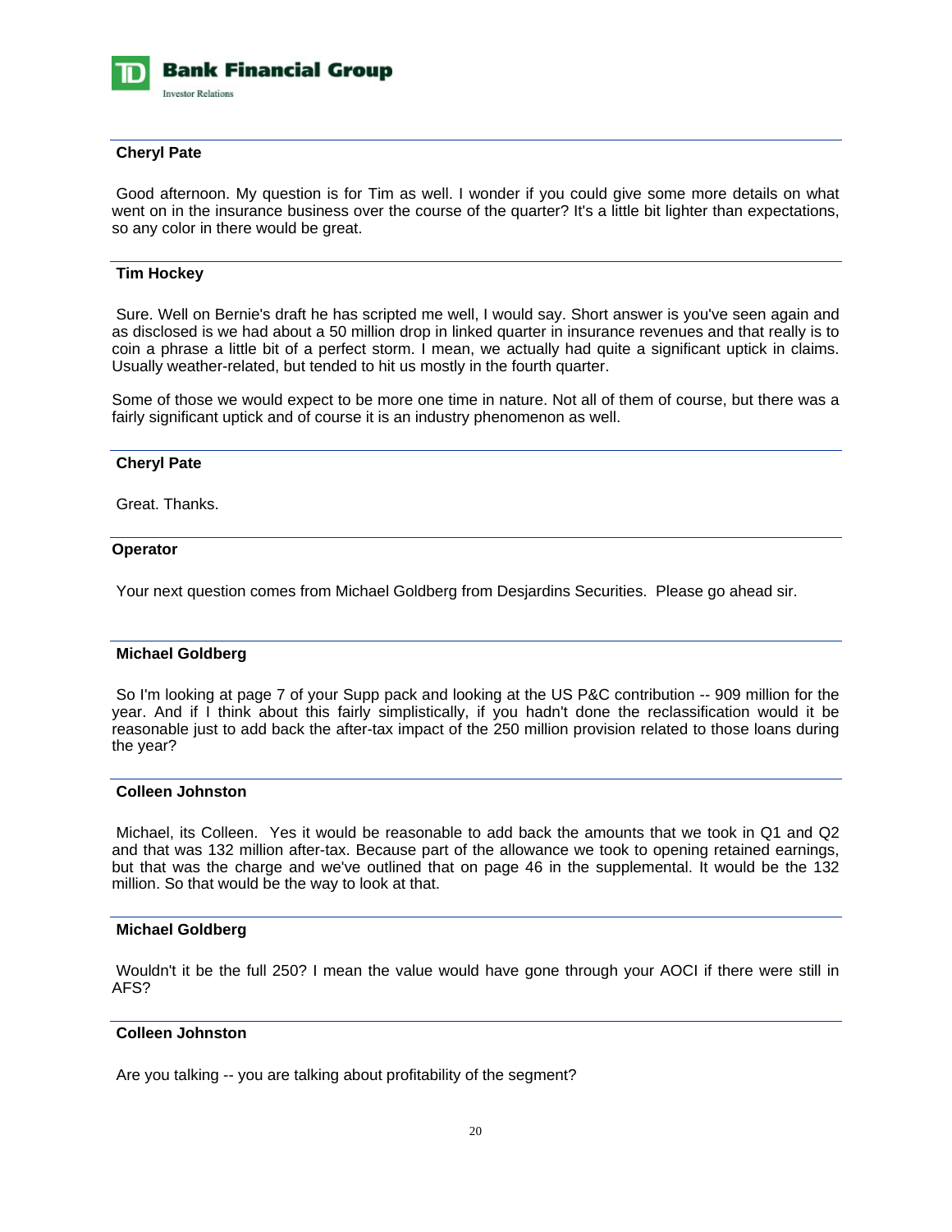

# **Cheryl Pate**

 Good afternoon. My question is for Tim as well. I wonder if you could give some more details on what went on in the insurance business over the course of the quarter? It's a little bit lighter than expectations, so any color in there would be great.

# **Tim Hockey**

 Sure. Well on Bernie's draft he has scripted me well, I would say. Short answer is you've seen again and as disclosed is we had about a 50 million drop in linked quarter in insurance revenues and that really is to coin a phrase a little bit of a perfect storm. I mean, we actually had quite a significant uptick in claims. Usually weather-related, but tended to hit us mostly in the fourth quarter.

Some of those we would expect to be more one time in nature. Not all of them of course, but there was a fairly significant uptick and of course it is an industry phenomenon as well.

# **Cheryl Pate**

Great. Thanks.

# **Operator**

Your next question comes from Michael Goldberg from Desjardins Securities. Please go ahead sir.

# **Michael Goldberg**

 So I'm looking at page 7 of your Supp pack and looking at the US P&C contribution -- 909 million for the year. And if I think about this fairly simplistically, if you hadn't done the reclassification would it be reasonable just to add back the after-tax impact of the 250 million provision related to those loans during the year?

### **Colleen Johnston**

 Michael, its Colleen. Yes it would be reasonable to add back the amounts that we took in Q1 and Q2 and that was 132 million after-tax. Because part of the allowance we took to opening retained earnings, but that was the charge and we've outlined that on page 46 in the supplemental. It would be the 132 million. So that would be the way to look at that.

# **Michael Goldberg**

 Wouldn't it be the full 250? I mean the value would have gone through your AOCI if there were still in AFS?

# **Colleen Johnston**

Are you talking -- you are talking about profitability of the segment?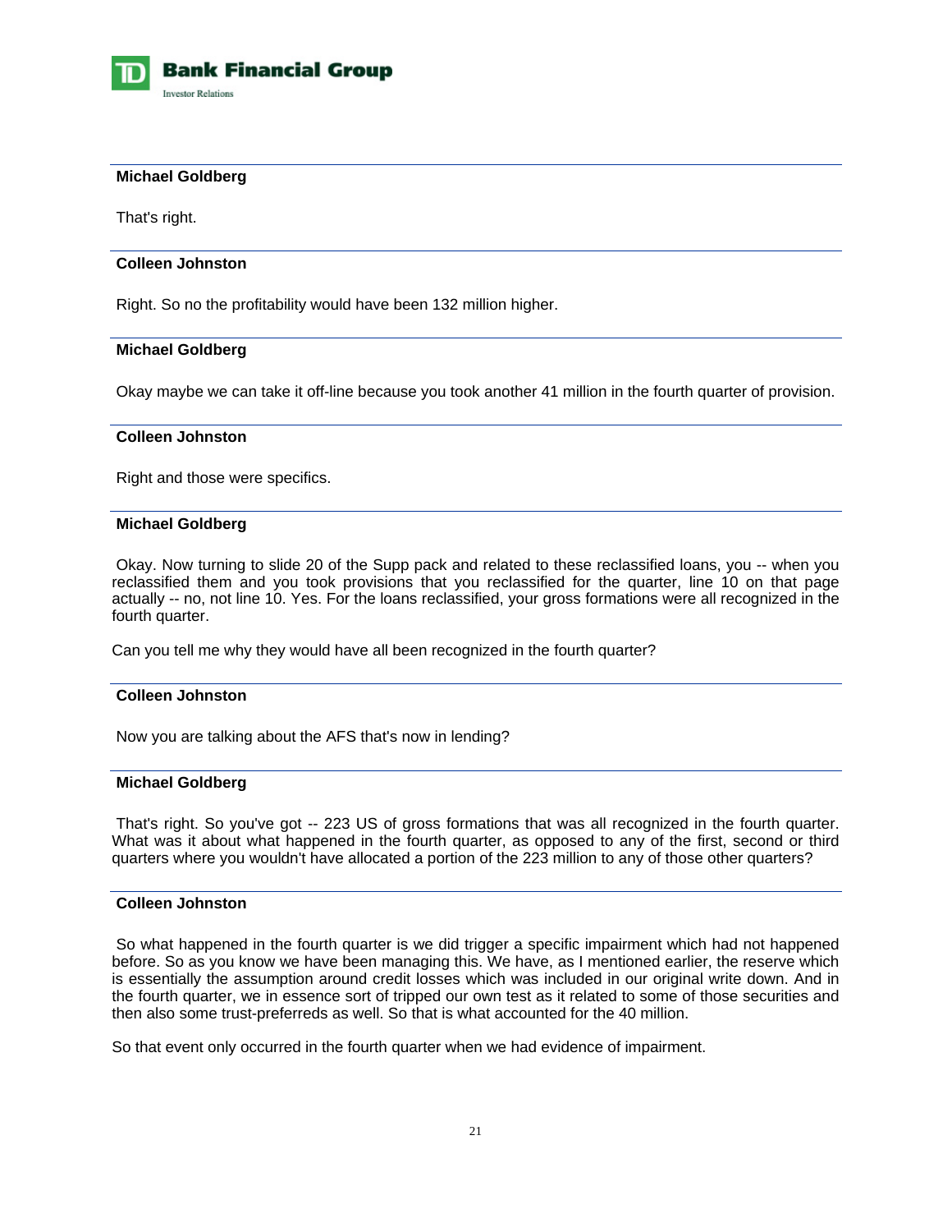

# **Michael Goldberg**

That's right.

#### **Colleen Johnston**

Right. So no the profitability would have been 132 million higher.

#### **Michael Goldberg**

Okay maybe we can take it off-line because you took another 41 million in the fourth quarter of provision.

# **Colleen Johnston**

Right and those were specifics.

# **Michael Goldberg**

 Okay. Now turning to slide 20 of the Supp pack and related to these reclassified loans, you -- when you reclassified them and you took provisions that you reclassified for the quarter, line 10 on that page actually -- no, not line 10. Yes. For the loans reclassified, your gross formations were all recognized in the fourth quarter.

Can you tell me why they would have all been recognized in the fourth quarter?

# **Colleen Johnston**

Now you are talking about the AFS that's now in lending?

# **Michael Goldberg**

 That's right. So you've got -- 223 US of gross formations that was all recognized in the fourth quarter. What was it about what happened in the fourth quarter, as opposed to any of the first, second or third quarters where you wouldn't have allocated a portion of the 223 million to any of those other quarters?

# **Colleen Johnston**

 So what happened in the fourth quarter is we did trigger a specific impairment which had not happened before. So as you know we have been managing this. We have, as I mentioned earlier, the reserve which is essentially the assumption around credit losses which was included in our original write down. And in the fourth quarter, we in essence sort of tripped our own test as it related to some of those securities and then also some trust-preferreds as well. So that is what accounted for the 40 million.

So that event only occurred in the fourth quarter when we had evidence of impairment.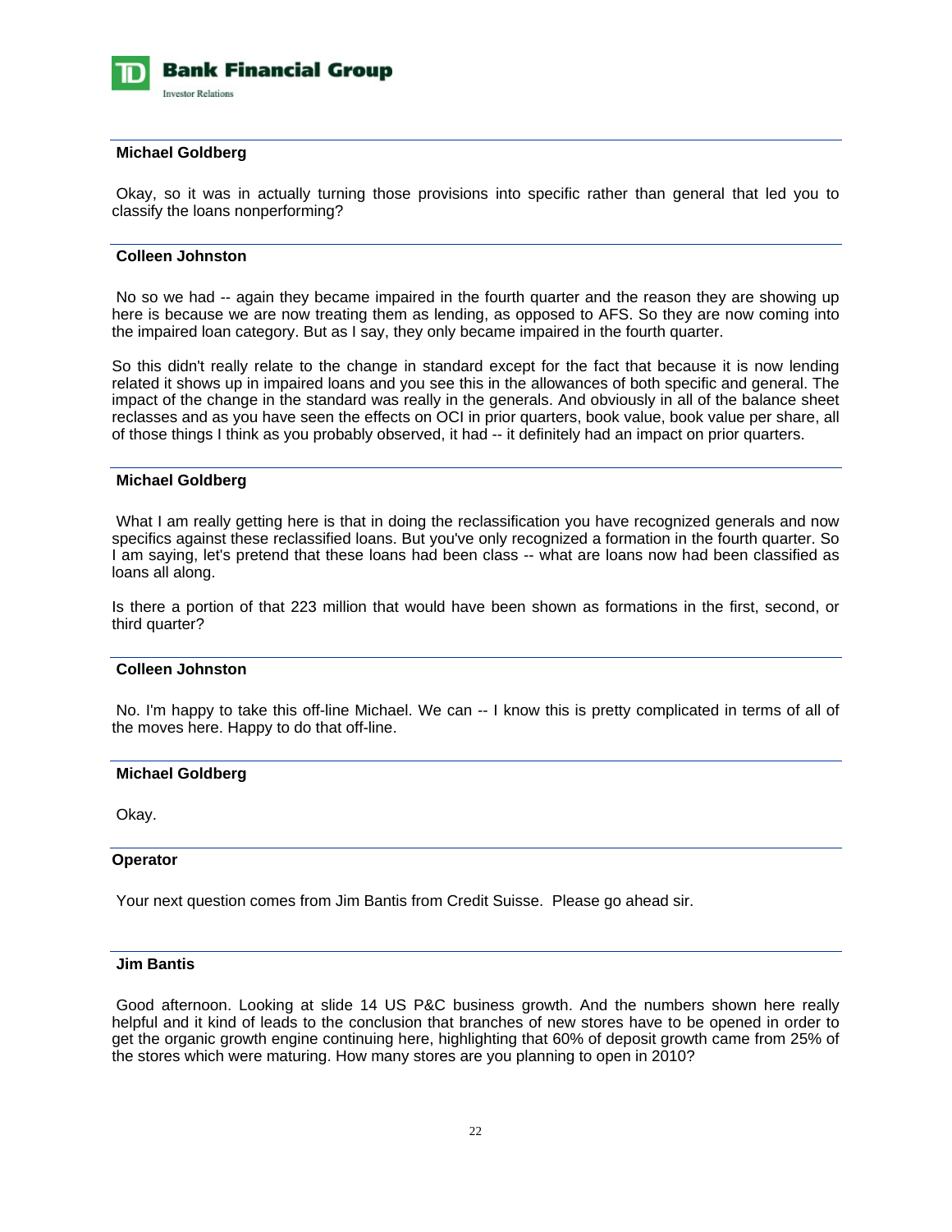

# **Michael Goldberg**

 Okay, so it was in actually turning those provisions into specific rather than general that led you to classify the loans nonperforming?

# **Colleen Johnston**

 No so we had -- again they became impaired in the fourth quarter and the reason they are showing up here is because we are now treating them as lending, as opposed to AFS. So they are now coming into the impaired loan category. But as I say, they only became impaired in the fourth quarter.

So this didn't really relate to the change in standard except for the fact that because it is now lending related it shows up in impaired loans and you see this in the allowances of both specific and general. The impact of the change in the standard was really in the generals. And obviously in all of the balance sheet reclasses and as you have seen the effects on OCI in prior quarters, book value, book value per share, all of those things I think as you probably observed, it had -- it definitely had an impact on prior quarters.

#### **Michael Goldberg**

What I am really getting here is that in doing the reclassification you have recognized generals and now specifics against these reclassified loans. But you've only recognized a formation in the fourth quarter. So I am saying, let's pretend that these loans had been class -- what are loans now had been classified as loans all along.

Is there a portion of that 223 million that would have been shown as formations in the first, second, or third quarter?

#### **Colleen Johnston**

No. I'm happy to take this off-line Michael. We can -- I know this is pretty complicated in terms of all of the moves here. Happy to do that off-line.

### **Michael Goldberg**

Okay.

#### **Operator**

Your next question comes from Jim Bantis from Credit Suisse. Please go ahead sir.

#### **Jim Bantis**

 Good afternoon. Looking at slide 14 US P&C business growth. And the numbers shown here really helpful and it kind of leads to the conclusion that branches of new stores have to be opened in order to get the organic growth engine continuing here, highlighting that 60% of deposit growth came from 25% of the stores which were maturing. How many stores are you planning to open in 2010?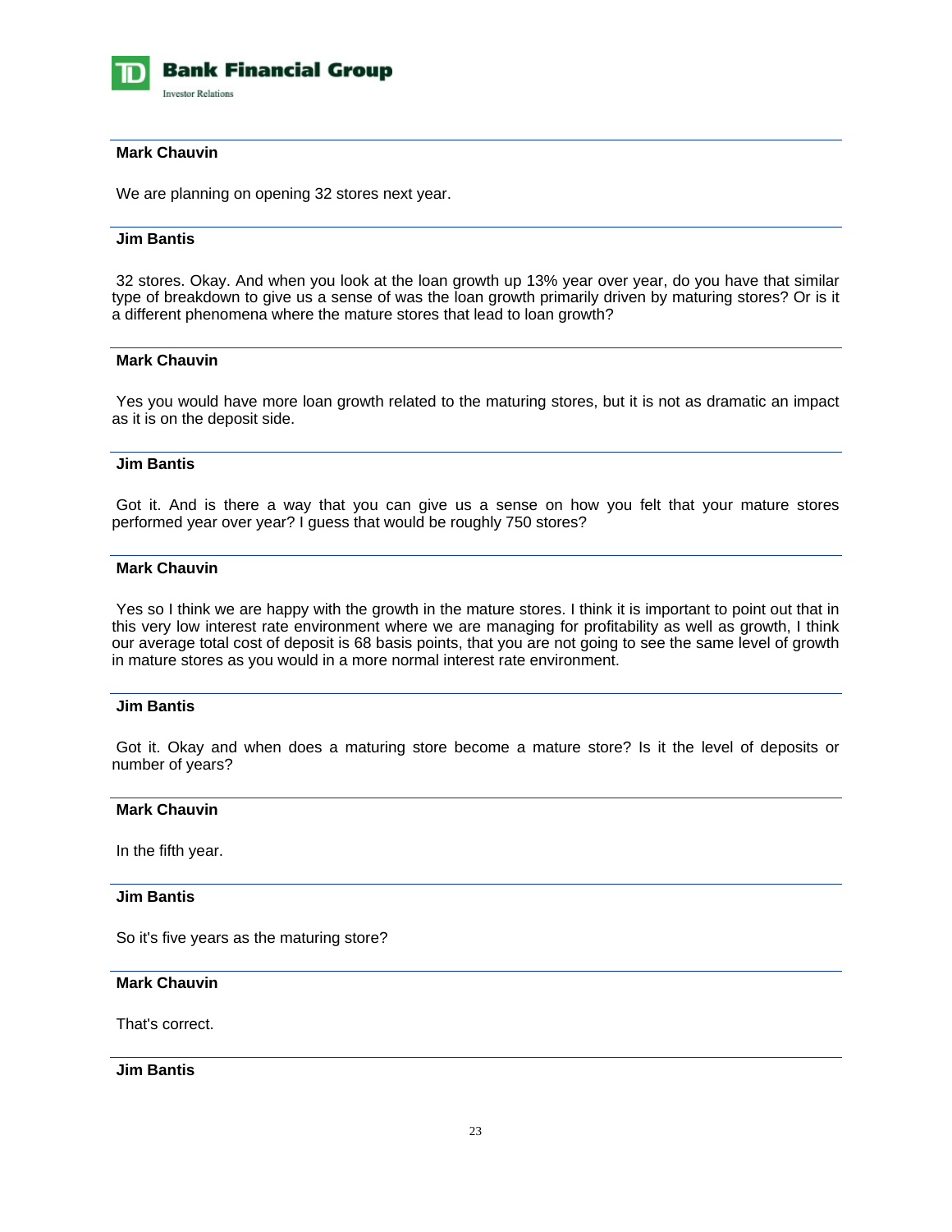

# **Mark Chauvin**

We are planning on opening 32 stores next year.

# **Jim Bantis**

 32 stores. Okay. And when you look at the loan growth up 13% year over year, do you have that similar type of breakdown to give us a sense of was the loan growth primarily driven by maturing stores? Or is it a different phenomena where the mature stores that lead to loan growth?

# **Mark Chauvin**

 Yes you would have more loan growth related to the maturing stores, but it is not as dramatic an impact as it is on the deposit side.

### **Jim Bantis**

 Got it. And is there a way that you can give us a sense on how you felt that your mature stores performed year over year? I guess that would be roughly 750 stores?

# **Mark Chauvin**

 Yes so I think we are happy with the growth in the mature stores. I think it is important to point out that in this very low interest rate environment where we are managing for profitability as well as growth, I think our average total cost of deposit is 68 basis points, that you are not going to see the same level of growth in mature stores as you would in a more normal interest rate environment.

#### **Jim Bantis**

 Got it. Okay and when does a maturing store become a mature store? Is it the level of deposits or number of years?

#### **Mark Chauvin**

In the fifth year.

#### **Jim Bantis**

So it's five years as the maturing store?

# **Mark Chauvin**

That's correct.

 **Jim Bantis**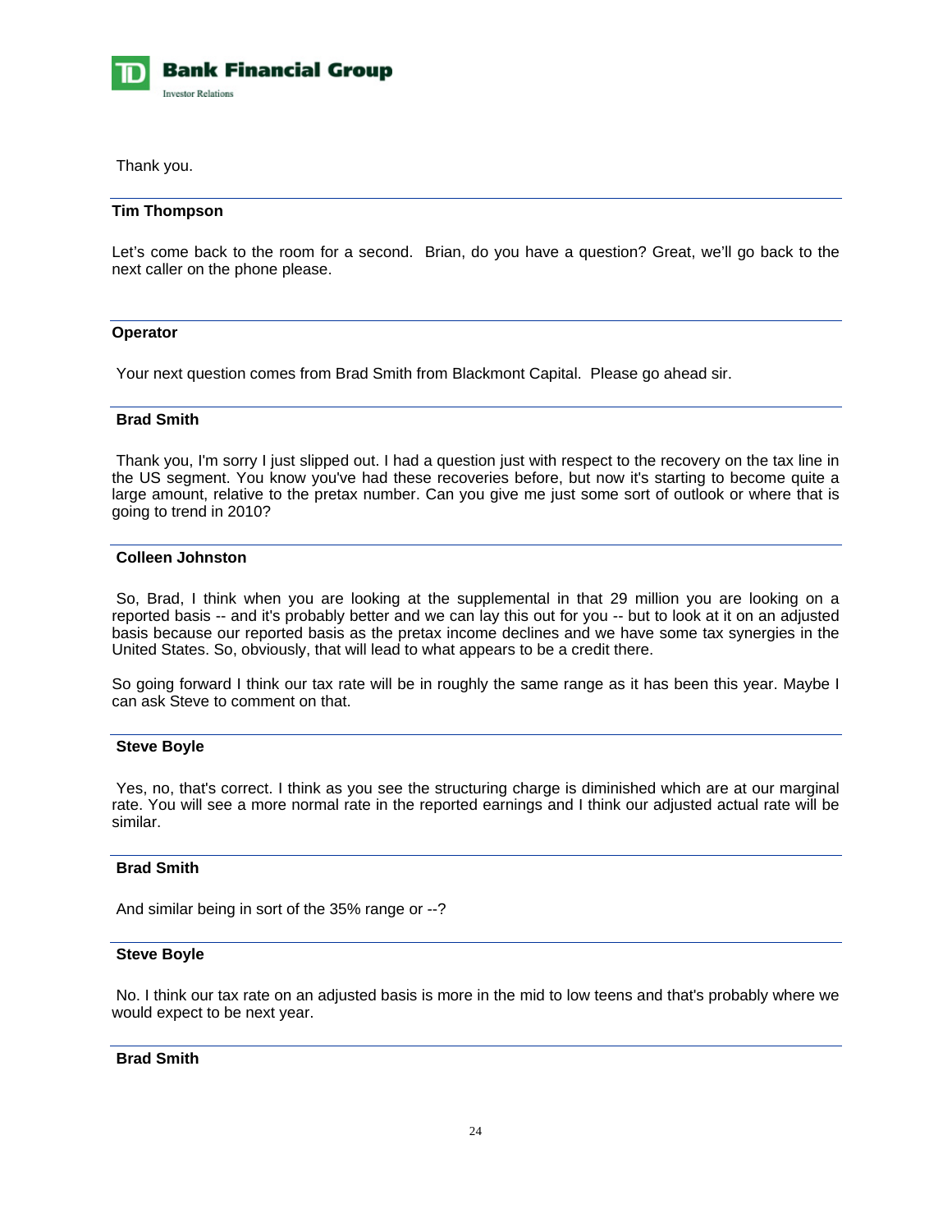

Thank you.

# **Tim Thompson**

Let's come back to the room for a second. Brian, do you have a question? Great, we'll go back to the next caller on the phone please.

# **Operator**

Your next question comes from Brad Smith from Blackmont Capital. Please go ahead sir.

# **Brad Smith**

 Thank you, I'm sorry I just slipped out. I had a question just with respect to the recovery on the tax line in the US segment. You know you've had these recoveries before, but now it's starting to become quite a large amount, relative to the pretax number. Can you give me just some sort of outlook or where that is going to trend in 2010?

# **Colleen Johnston**

 So, Brad, I think when you are looking at the supplemental in that 29 million you are looking on a reported basis -- and it's probably better and we can lay this out for you -- but to look at it on an adjusted basis because our reported basis as the pretax income declines and we have some tax synergies in the United States. So, obviously, that will lead to what appears to be a credit there.

So going forward I think our tax rate will be in roughly the same range as it has been this year. Maybe I can ask Steve to comment on that.

#### **Steve Boyle**

 Yes, no, that's correct. I think as you see the structuring charge is diminished which are at our marginal rate. You will see a more normal rate in the reported earnings and I think our adjusted actual rate will be similar.

# **Brad Smith**

And similar being in sort of the 35% range or --?

#### **Steve Boyle**

 No. I think our tax rate on an adjusted basis is more in the mid to low teens and that's probably where we would expect to be next year.

# **Brad Smith**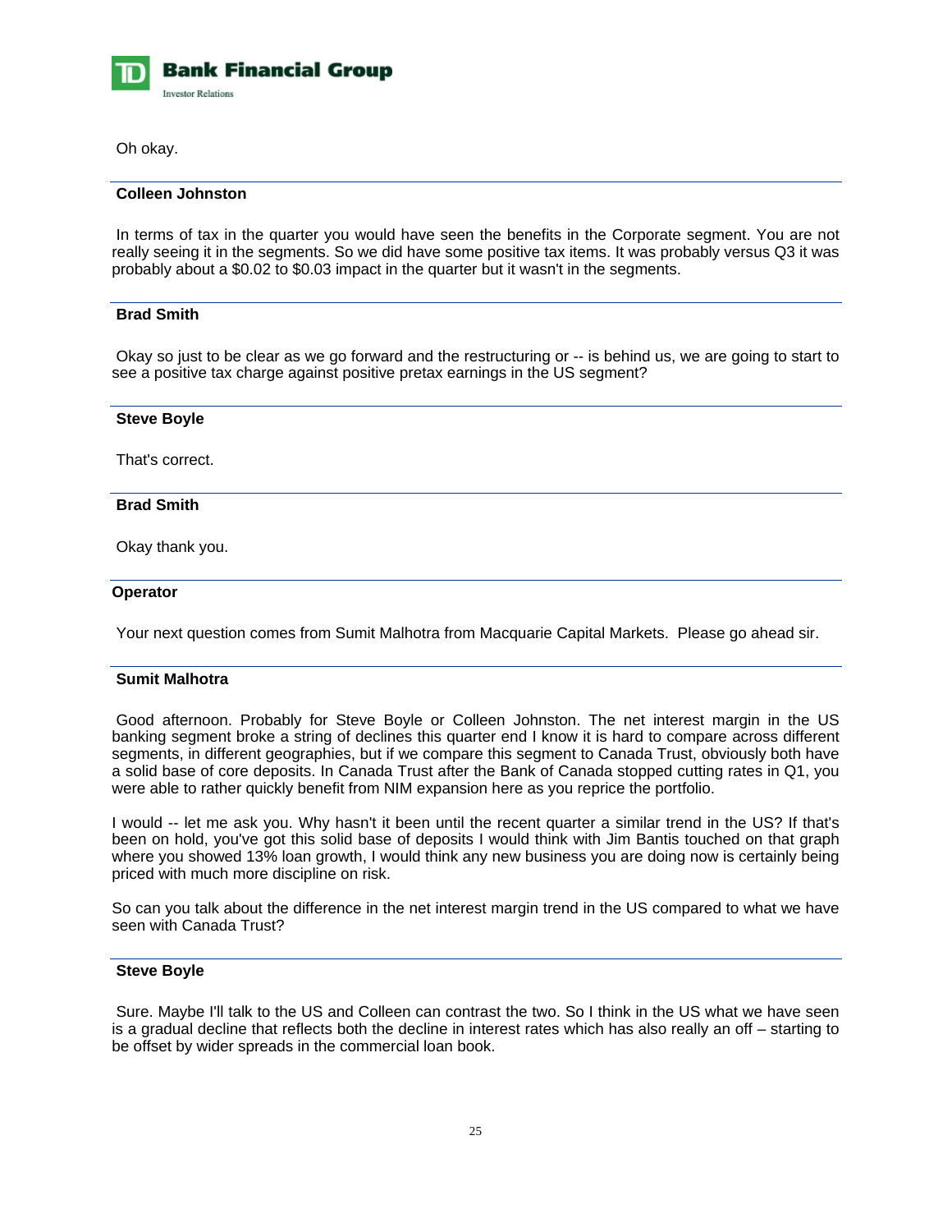

Oh okay.

# **Colleen Johnston**

 In terms of tax in the quarter you would have seen the benefits in the Corporate segment. You are not really seeing it in the segments. So we did have some positive tax items. It was probably versus Q3 it was probably about a \$0.02 to \$0.03 impact in the quarter but it wasn't in the segments.

# **Brad Smith**

 Okay so just to be clear as we go forward and the restructuring or -- is behind us, we are going to start to see a positive tax charge against positive pretax earnings in the US segment?

| <b>Steve Boyle</b> |  |
|--------------------|--|
| That's correct.    |  |
| <b>Brad Smith</b>  |  |
| Okay thank you.    |  |
| <b>Operator</b>    |  |

Your next question comes from Sumit Malhotra from Macquarie Capital Markets. Please go ahead sir.

# **Sumit Malhotra**

 Good afternoon. Probably for Steve Boyle or Colleen Johnston. The net interest margin in the US banking segment broke a string of declines this quarter end I know it is hard to compare across different segments, in different geographies, but if we compare this segment to Canada Trust, obviously both have a solid base of core deposits. In Canada Trust after the Bank of Canada stopped cutting rates in Q1, you were able to rather quickly benefit from NIM expansion here as you reprice the portfolio.

I would -- let me ask you. Why hasn't it been until the recent quarter a similar trend in the US? If that's been on hold, you've got this solid base of deposits I would think with Jim Bantis touched on that graph where you showed 13% loan growth, I would think any new business you are doing now is certainly being priced with much more discipline on risk.

So can you talk about the difference in the net interest margin trend in the US compared to what we have seen with Canada Trust?

# **Steve Boyle**

 Sure. Maybe I'll talk to the US and Colleen can contrast the two. So I think in the US what we have seen is a gradual decline that reflects both the decline in interest rates which has also really an off – starting to be offset by wider spreads in the commercial loan book.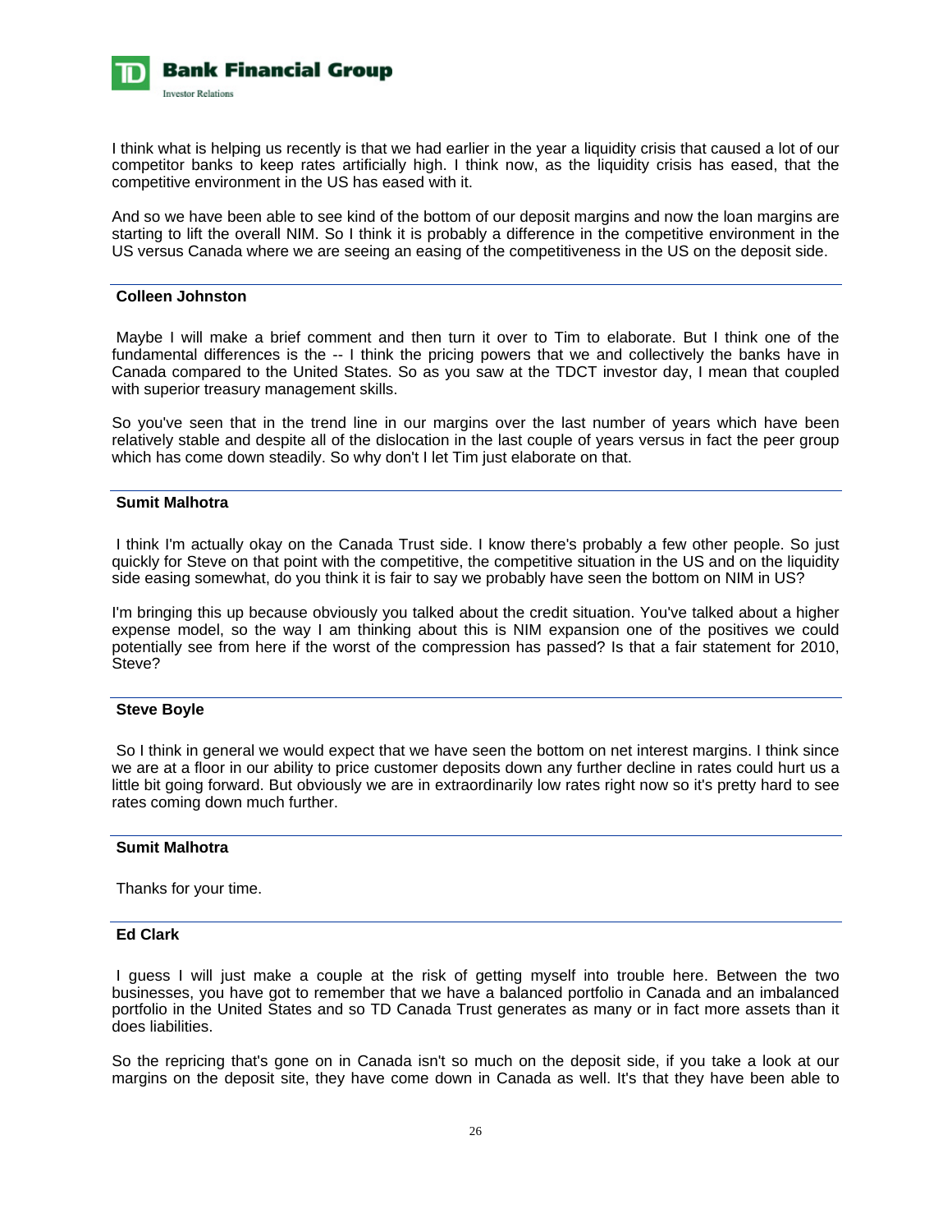

I think what is helping us recently is that we had earlier in the year a liquidity crisis that caused a lot of our competitor banks to keep rates artificially high. I think now, as the liquidity crisis has eased, that the competitive environment in the US has eased with it.

And so we have been able to see kind of the bottom of our deposit margins and now the loan margins are starting to lift the overall NIM. So I think it is probably a difference in the competitive environment in the US versus Canada where we are seeing an easing of the competitiveness in the US on the deposit side.

### **Colleen Johnston**

 Maybe I will make a brief comment and then turn it over to Tim to elaborate. But I think one of the fundamental differences is the -- I think the pricing powers that we and collectively the banks have in Canada compared to the United States. So as you saw at the TDCT investor day, I mean that coupled with superior treasury management skills.

So you've seen that in the trend line in our margins over the last number of years which have been relatively stable and despite all of the dislocation in the last couple of years versus in fact the peer group which has come down steadily. So why don't I let Tim just elaborate on that.

### **Sumit Malhotra**

 I think I'm actually okay on the Canada Trust side. I know there's probably a few other people. So just quickly for Steve on that point with the competitive, the competitive situation in the US and on the liquidity side easing somewhat, do you think it is fair to say we probably have seen the bottom on NIM in US?

I'm bringing this up because obviously you talked about the credit situation. You've talked about a higher expense model, so the way I am thinking about this is NIM expansion one of the positives we could potentially see from here if the worst of the compression has passed? Is that a fair statement for 2010, Steve?

# **Steve Boyle**

 So I think in general we would expect that we have seen the bottom on net interest margins. I think since we are at a floor in our ability to price customer deposits down any further decline in rates could hurt us a little bit going forward. But obviously we are in extraordinarily low rates right now so it's pretty hard to see rates coming down much further.

# **Sumit Malhotra**

Thanks for your time.

# **Ed Clark**

 I guess I will just make a couple at the risk of getting myself into trouble here. Between the two businesses, you have got to remember that we have a balanced portfolio in Canada and an imbalanced portfolio in the United States and so TD Canada Trust generates as many or in fact more assets than it does liabilities.

So the repricing that's gone on in Canada isn't so much on the deposit side, if you take a look at our margins on the deposit site, they have come down in Canada as well. It's that they have been able to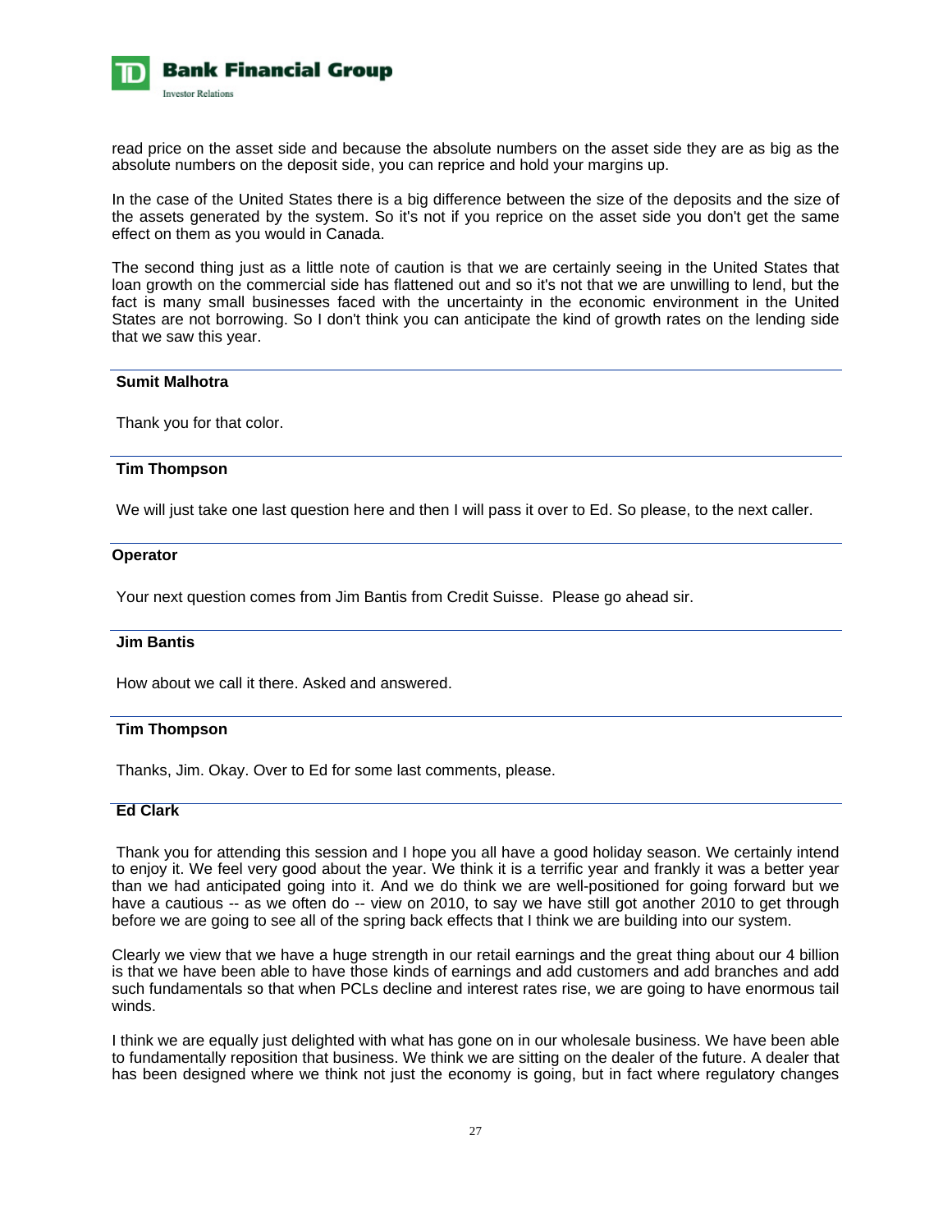

read price on the asset side and because the absolute numbers on the asset side they are as big as the absolute numbers on the deposit side, you can reprice and hold your margins up.

In the case of the United States there is a big difference between the size of the deposits and the size of the assets generated by the system. So it's not if you reprice on the asset side you don't get the same effect on them as you would in Canada.

The second thing just as a little note of caution is that we are certainly seeing in the United States that loan growth on the commercial side has flattened out and so it's not that we are unwilling to lend, but the fact is many small businesses faced with the uncertainty in the economic environment in the United States are not borrowing. So I don't think you can anticipate the kind of growth rates on the lending side that we saw this year.

#### **Sumit Malhotra**

Thank you for that color.

#### **Tim Thompson**

We will just take one last question here and then I will pass it over to Ed. So please, to the next caller.

#### **Operator**

Your next question comes from Jim Bantis from Credit Suisse. Please go ahead sir.

#### **Jim Bantis**

How about we call it there. Asked and answered.

#### **Tim Thompson**

Thanks, Jim. Okay. Over to Ed for some last comments, please.

### **Ed Clark**

 Thank you for attending this session and I hope you all have a good holiday season. We certainly intend to enjoy it. We feel very good about the year. We think it is a terrific year and frankly it was a better year than we had anticipated going into it. And we do think we are well-positioned for going forward but we have a cautious -- as we often do -- view on 2010, to say we have still got another 2010 to get through before we are going to see all of the spring back effects that I think we are building into our system.

Clearly we view that we have a huge strength in our retail earnings and the great thing about our 4 billion is that we have been able to have those kinds of earnings and add customers and add branches and add such fundamentals so that when PCLs decline and interest rates rise, we are going to have enormous tail winds.

I think we are equally just delighted with what has gone on in our wholesale business. We have been able to fundamentally reposition that business. We think we are sitting on the dealer of the future. A dealer that has been designed where we think not just the economy is going, but in fact where regulatory changes